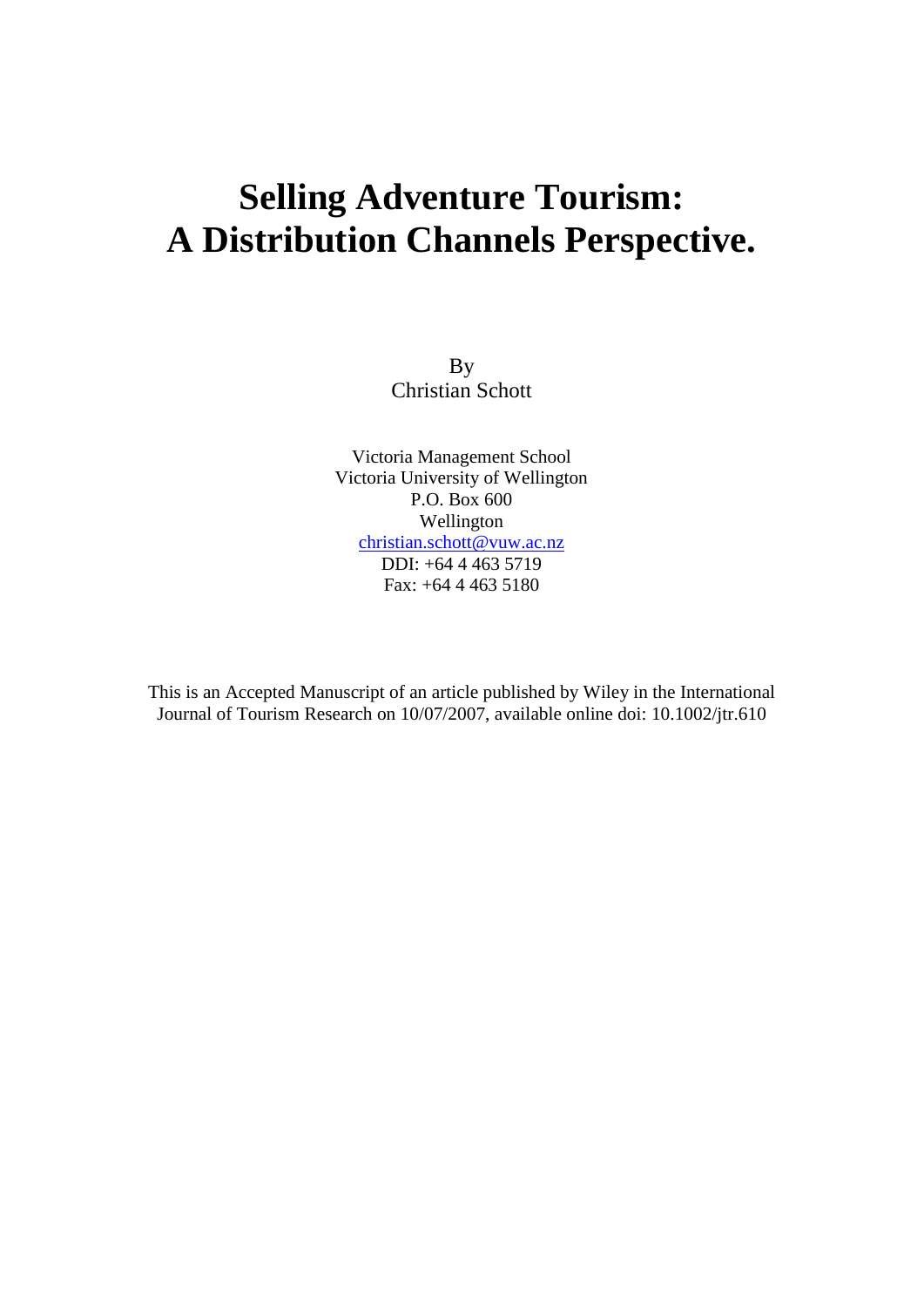# **Selling Adventure Tourism: A Distribution Channels Perspective.**

By Christian Schott

Victoria Management School Victoria University of Wellington P.O. Box 600 Wellington [christian.schott@vuw.ac.nz](mailto:christian.schott@vuw.ac.nz) DDI: +64 4 463 5719 Fax: +64 4 463 5180

This is an Accepted Manuscript of an article published by Wiley in the International Journal of Tourism Research on 10/07/2007, available online doi: 10.1002/jtr.610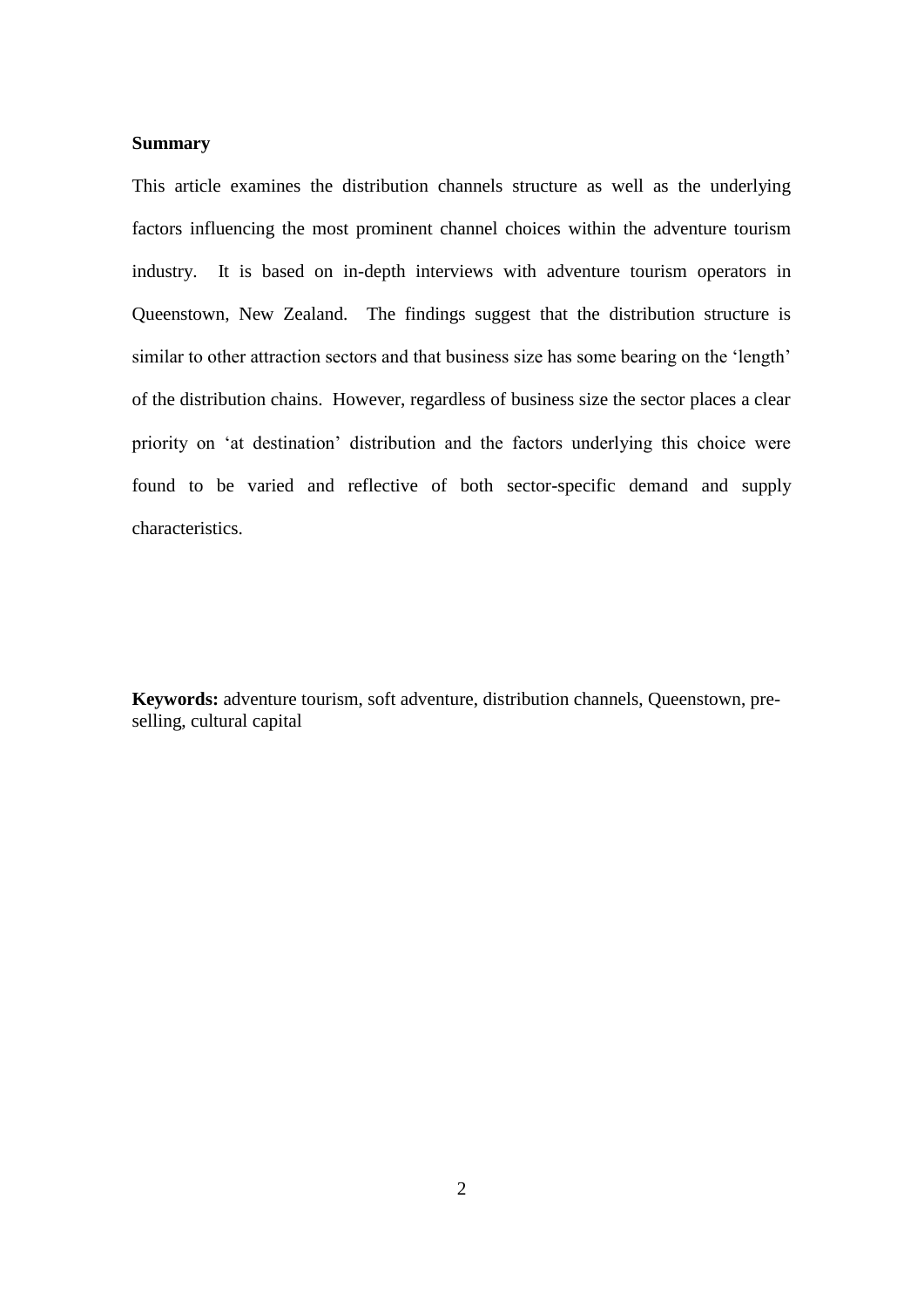#### **Summary**

This article examines the distribution channels structure as well as the underlying factors influencing the most prominent channel choices within the adventure tourism industry. It is based on in-depth interviews with adventure tourism operators in Queenstown, New Zealand. The findings suggest that the distribution structure is similar to other attraction sectors and that business size has some bearing on the 'length' of the distribution chains. However, regardless of business size the sector places a clear priority on 'at destination' distribution and the factors underlying this choice were found to be varied and reflective of both sector-specific demand and supply characteristics.

**Keywords:** adventure tourism, soft adventure, distribution channels, Queenstown, preselling, cultural capital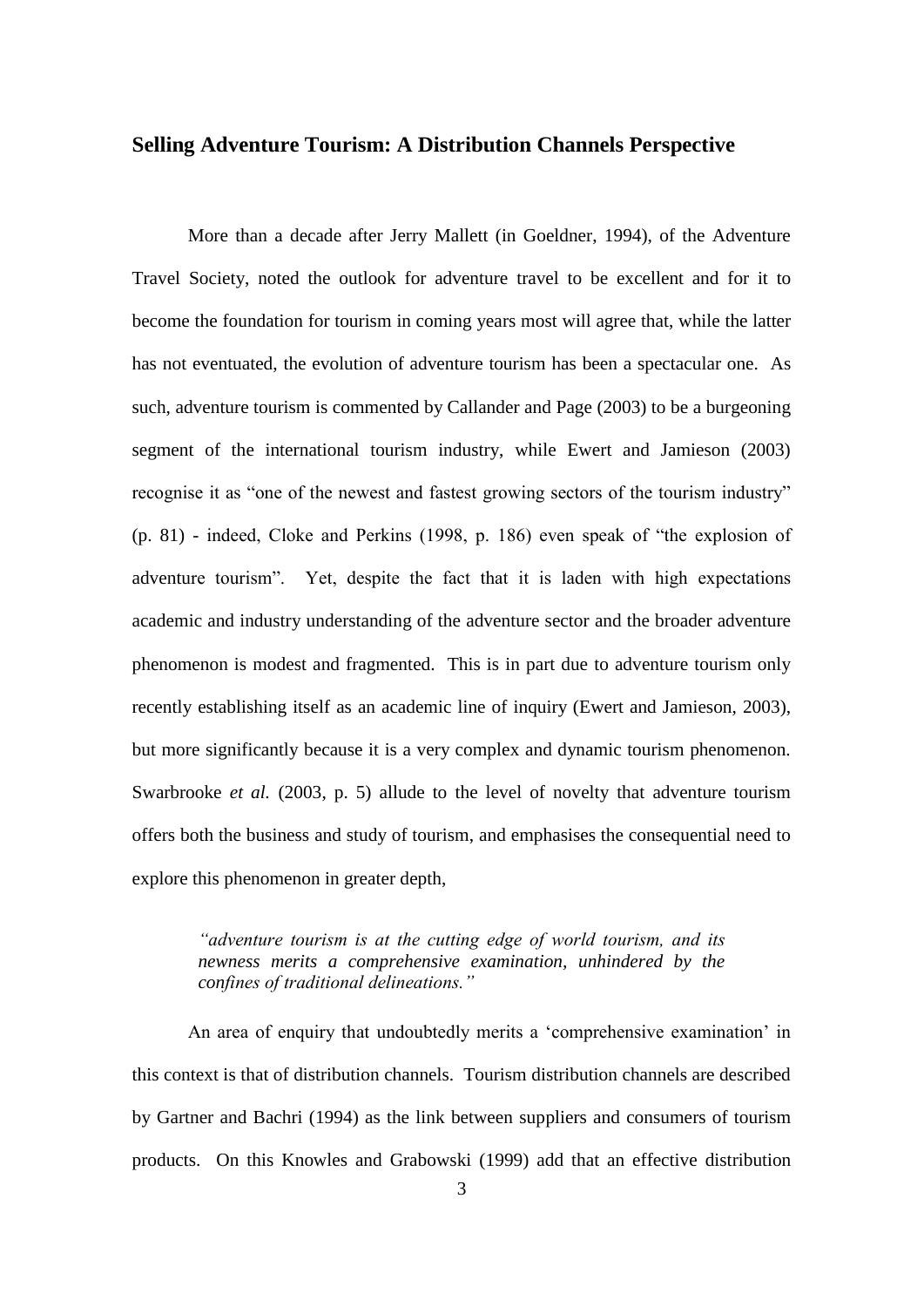# **Selling Adventure Tourism: A Distribution Channels Perspective**

More than a decade after Jerry Mallett (in Goeldner, 1994), of the Adventure Travel Society, noted the outlook for adventure travel to be excellent and for it to become the foundation for tourism in coming years most will agree that, while the latter has not eventuated, the evolution of adventure tourism has been a spectacular one. As such, adventure tourism is commented by Callander and Page (2003) to be a burgeoning segment of the international tourism industry, while Ewert and Jamieson (2003) recognise it as "one of the newest and fastest growing sectors of the tourism industry" (p. 81) - indeed, Cloke and Perkins (1998, p. 186) even speak of "the explosion of adventure tourism". Yet, despite the fact that it is laden with high expectations academic and industry understanding of the adventure sector and the broader adventure phenomenon is modest and fragmented. This is in part due to adventure tourism only recently establishing itself as an academic line of inquiry (Ewert and Jamieson, 2003), but more significantly because it is a very complex and dynamic tourism phenomenon. Swarbrooke *et al.* (2003, p. 5) allude to the level of novelty that adventure tourism offers both the business and study of tourism, and emphasises the consequential need to explore this phenomenon in greater depth,

## *"adventure tourism is at the cutting edge of world tourism, and its newness merits a comprehensive examination, unhindered by the confines of traditional delineations."*

An area of enquiry that undoubtedly merits a 'comprehensive examination' in this context is that of distribution channels. Tourism distribution channels are described by Gartner and Bachri (1994) as the link between suppliers and consumers of tourism products. On this Knowles and Grabowski (1999) add that an effective distribution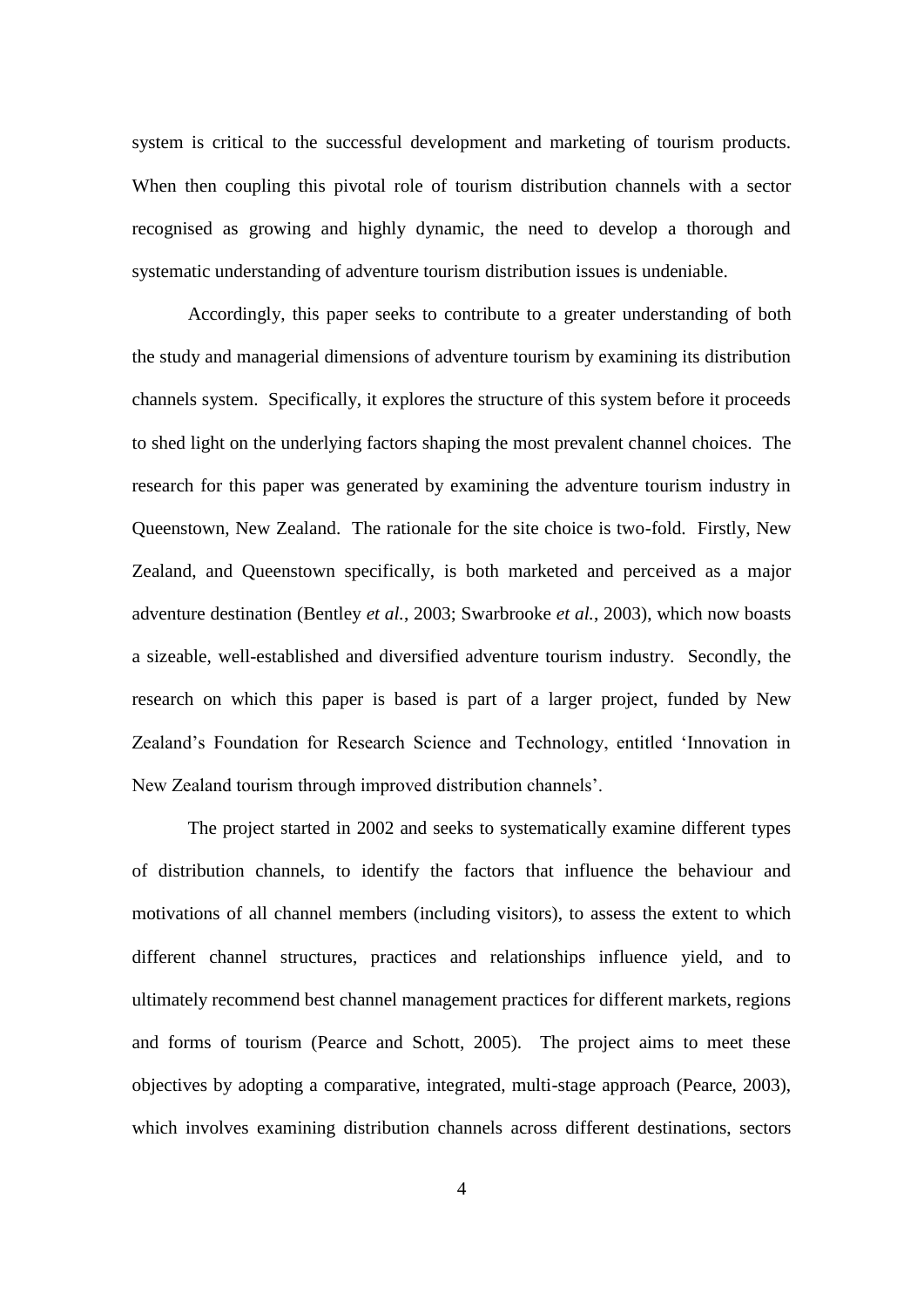system is critical to the successful development and marketing of tourism products. When then coupling this pivotal role of tourism distribution channels with a sector recognised as growing and highly dynamic, the need to develop a thorough and systematic understanding of adventure tourism distribution issues is undeniable.

Accordingly, this paper seeks to contribute to a greater understanding of both the study and managerial dimensions of adventure tourism by examining its distribution channels system. Specifically, it explores the structure of this system before it proceeds to shed light on the underlying factors shaping the most prevalent channel choices. The research for this paper was generated by examining the adventure tourism industry in Queenstown, New Zealand. The rationale for the site choice is two-fold. Firstly, New Zealand, and Queenstown specifically, is both marketed and perceived as a major adventure destination (Bentley *et al.*, 2003; Swarbrooke *et al.*, 2003), which now boasts a sizeable, well-established and diversified adventure tourism industry. Secondly, the research on which this paper is based is part of a larger project, funded by New Zealand's Foundation for Research Science and Technology, entitled 'Innovation in New Zealand tourism through improved distribution channels'.

The project started in 2002 and seeks to systematically examine different types of distribution channels, to identify the factors that influence the behaviour and motivations of all channel members (including visitors), to assess the extent to which different channel structures, practices and relationships influence yield, and to ultimately recommend best channel management practices for different markets, regions and forms of tourism (Pearce and Schott, 2005). The project aims to meet these objectives by adopting a comparative, integrated, multi-stage approach (Pearce, 2003), which involves examining distribution channels across different destinations, sectors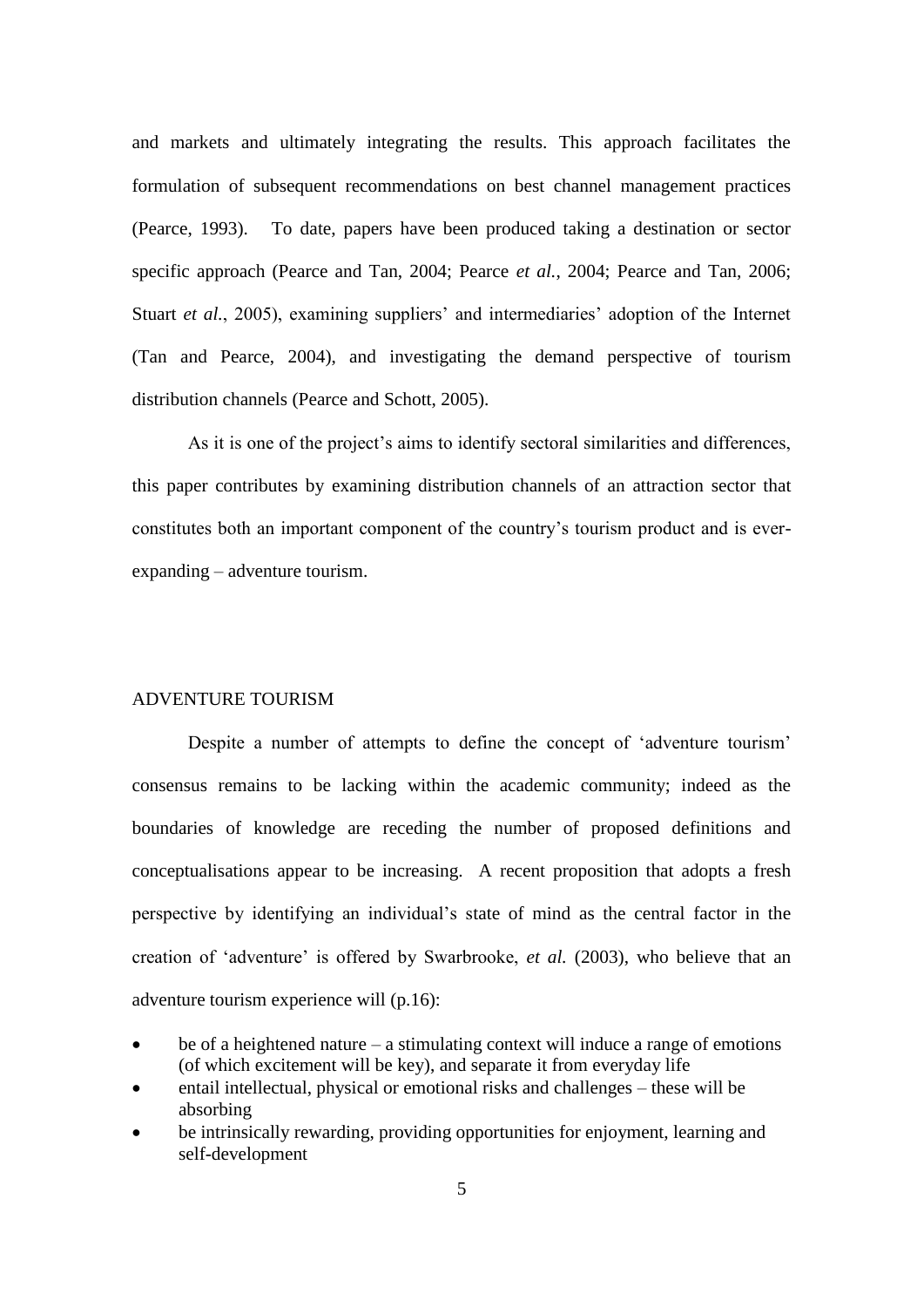and markets and ultimately integrating the results. This approach facilitates the formulation of subsequent recommendations on best channel management practices (Pearce, 1993). To date, papers have been produced taking a destination or sector specific approach (Pearce and Tan, 2004; Pearce *et al.*, 2004; Pearce and Tan, 2006; Stuart *et al.*, 2005), examining suppliers' and intermediaries' adoption of the Internet (Tan and Pearce, 2004), and investigating the demand perspective of tourism distribution channels (Pearce and Schott, 2005).

As it is one of the project's aims to identify sectoral similarities and differences, this paper contributes by examining distribution channels of an attraction sector that constitutes both an important component of the country's tourism product and is everexpanding – adventure tourism.

#### ADVENTURE TOURISM

Despite a number of attempts to define the concept of 'adventure tourism' consensus remains to be lacking within the academic community; indeed as the boundaries of knowledge are receding the number of proposed definitions and conceptualisations appear to be increasing. A recent proposition that adopts a fresh perspective by identifying an individual's state of mind as the central factor in the creation of 'adventure' is offered by Swarbrooke, *et al.* (2003), who believe that an adventure tourism experience will (p.16):

- be of a heightened nature a stimulating context will induce a range of emotions (of which excitement will be key), and separate it from everyday life
- entail intellectual, physical or emotional risks and challenges these will be absorbing
- be intrinsically rewarding, providing opportunities for enjoyment, learning and self-development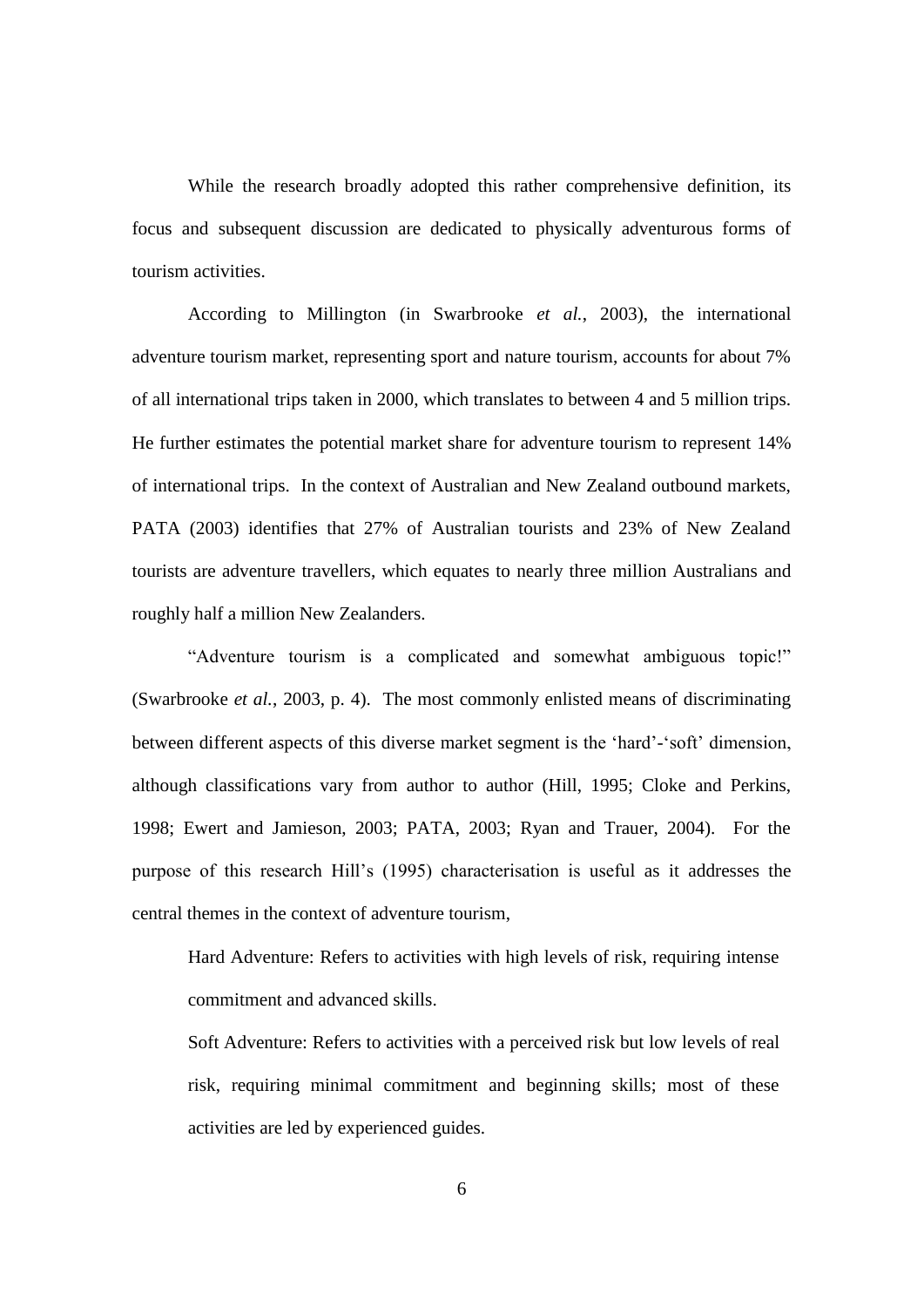While the research broadly adopted this rather comprehensive definition, its focus and subsequent discussion are dedicated to physically adventurous forms of tourism activities.

According to Millington (in Swarbrooke *et al.*, 2003), the international adventure tourism market, representing sport and nature tourism, accounts for about 7% of all international trips taken in 2000, which translates to between 4 and 5 million trips. He further estimates the potential market share for adventure tourism to represent 14% of international trips. In the context of Australian and New Zealand outbound markets, PATA (2003) identifies that 27% of Australian tourists and 23% of New Zealand tourists are adventure travellers, which equates to nearly three million Australians and roughly half a million New Zealanders.

"Adventure tourism is a complicated and somewhat ambiguous topic!" (Swarbrooke *et al.*, 2003, p. 4). The most commonly enlisted means of discriminating between different aspects of this diverse market segment is the 'hard'-'soft' dimension, although classifications vary from author to author (Hill, 1995; Cloke and Perkins, 1998; Ewert and Jamieson, 2003; PATA, 2003; Ryan and Trauer, 2004). For the purpose of this research Hill's (1995) characterisation is useful as it addresses the central themes in the context of adventure tourism,

Hard Adventure: Refers to activities with high levels of risk, requiring intense commitment and advanced skills.

Soft Adventure: Refers to activities with a perceived risk but low levels of real risk, requiring minimal commitment and beginning skills; most of these activities are led by experienced guides.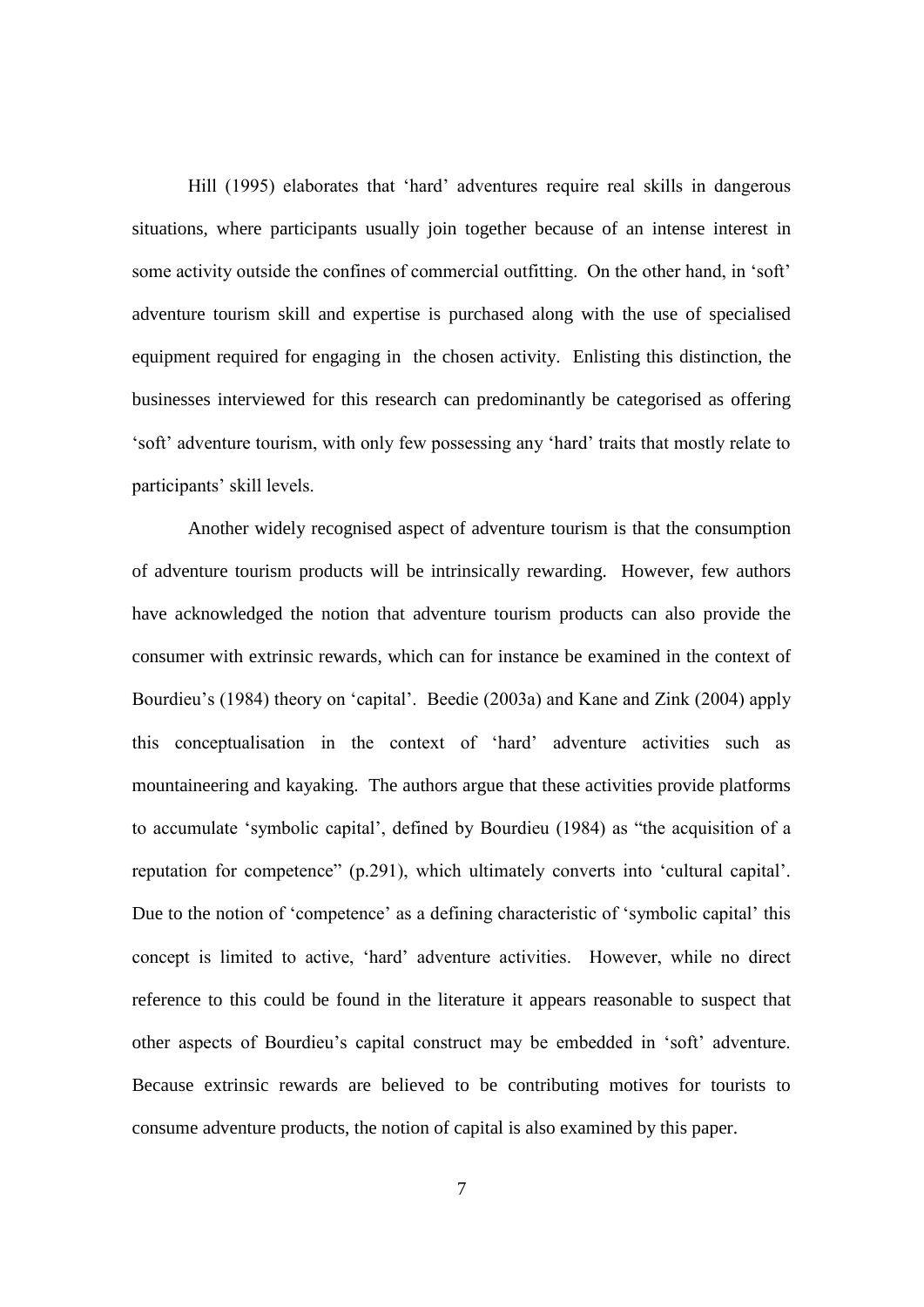Hill (1995) elaborates that 'hard' adventures require real skills in dangerous situations, where participants usually join together because of an intense interest in some activity outside the confines of commercial outfitting. On the other hand, in 'soft' adventure tourism skill and expertise is purchased along with the use of specialised equipment required for engaging in the chosen activity. Enlisting this distinction, the businesses interviewed for this research can predominantly be categorised as offering 'soft' adventure tourism, with only few possessing any 'hard' traits that mostly relate to participants' skill levels.

Another widely recognised aspect of adventure tourism is that the consumption of adventure tourism products will be intrinsically rewarding. However, few authors have acknowledged the notion that adventure tourism products can also provide the consumer with extrinsic rewards, which can for instance be examined in the context of Bourdieu's (1984) theory on 'capital'. Beedie (2003a) and Kane and Zink (2004) apply this conceptualisation in the context of 'hard' adventure activities such as mountaineering and kayaking. The authors argue that these activities provide platforms to accumulate 'symbolic capital', defined by Bourdieu (1984) as "the acquisition of a reputation for competence" (p.291), which ultimately converts into 'cultural capital'. Due to the notion of 'competence' as a defining characteristic of 'symbolic capital' this concept is limited to active, 'hard' adventure activities. However, while no direct reference to this could be found in the literature it appears reasonable to suspect that other aspects of Bourdieu's capital construct may be embedded in 'soft' adventure. Because extrinsic rewards are believed to be contributing motives for tourists to consume adventure products, the notion of capital is also examined by this paper.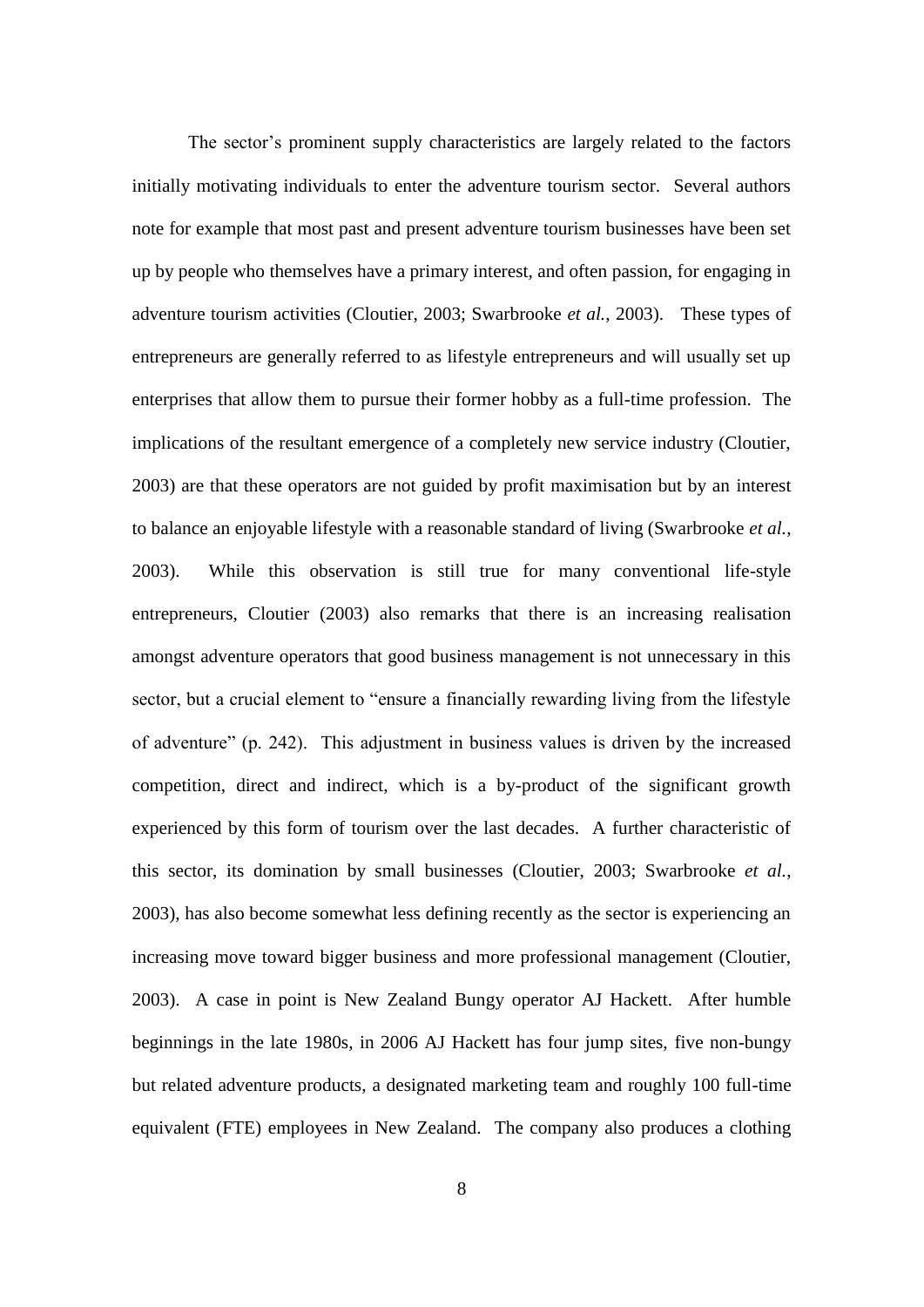The sector's prominent supply characteristics are largely related to the factors initially motivating individuals to enter the adventure tourism sector. Several authors note for example that most past and present adventure tourism businesses have been set up by people who themselves have a primary interest, and often passion, for engaging in adventure tourism activities (Cloutier, 2003; Swarbrooke *et al.*, 2003). These types of entrepreneurs are generally referred to as lifestyle entrepreneurs and will usually set up enterprises that allow them to pursue their former hobby as a full-time profession. The implications of the resultant emergence of a completely new service industry (Cloutier, 2003) are that these operators are not guided by profit maximisation but by an interest to balance an enjoyable lifestyle with a reasonable standard of living (Swarbrooke *et al.*, 2003). While this observation is still true for many conventional life-style entrepreneurs, Cloutier (2003) also remarks that there is an increasing realisation amongst adventure operators that good business management is not unnecessary in this sector, but a crucial element to "ensure a financially rewarding living from the lifestyle of adventure" (p. 242). This adjustment in business values is driven by the increased competition, direct and indirect, which is a by-product of the significant growth experienced by this form of tourism over the last decades. A further characteristic of this sector, its domination by small businesses (Cloutier, 2003; Swarbrooke *et al.*, 2003), has also become somewhat less defining recently as the sector is experiencing an increasing move toward bigger business and more professional management (Cloutier, 2003). A case in point is New Zealand Bungy operator AJ Hackett. After humble beginnings in the late 1980s, in 2006 AJ Hackett has four jump sites, five non-bungy but related adventure products, a designated marketing team and roughly 100 full-time equivalent (FTE) employees in New Zealand. The company also produces a clothing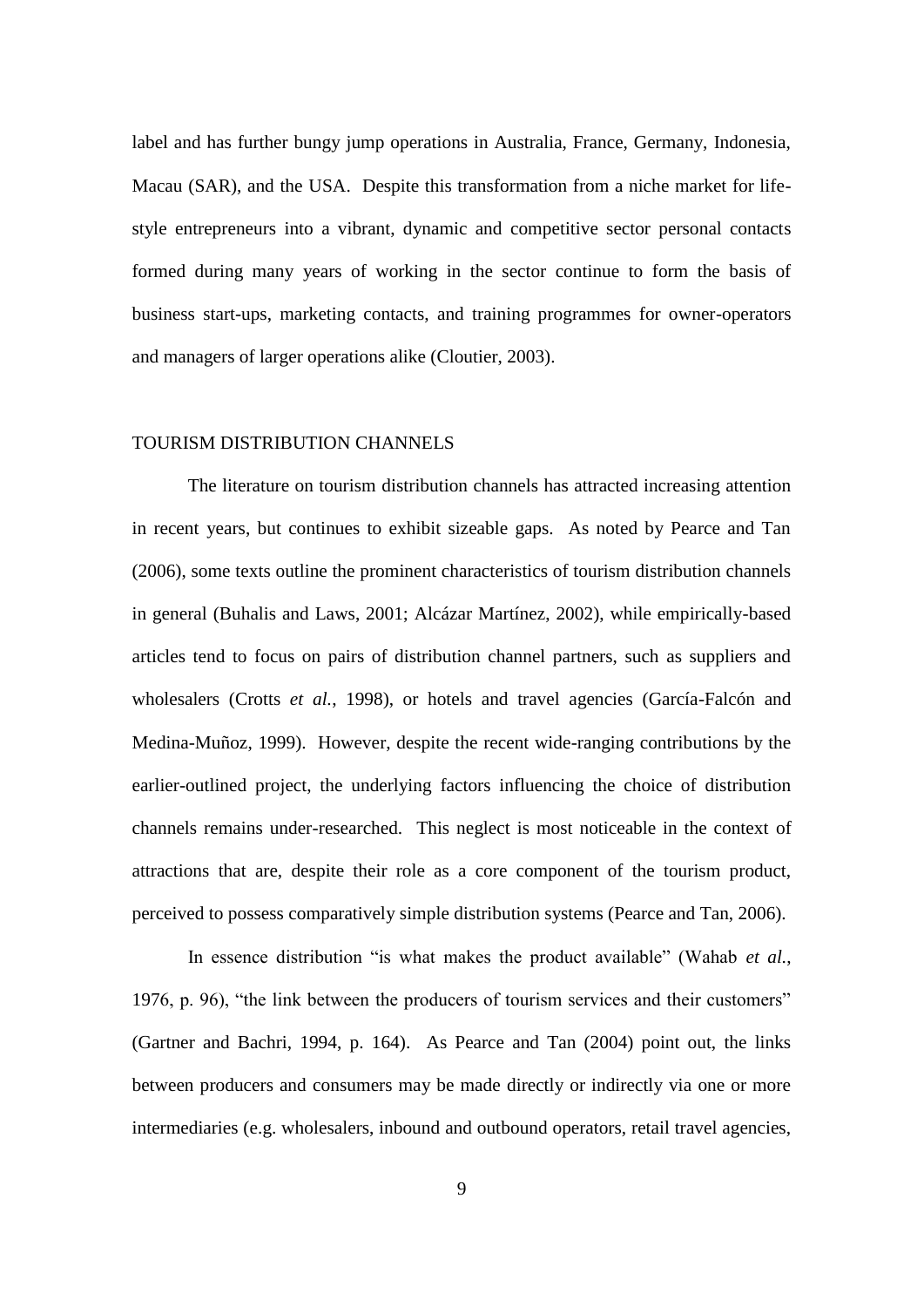label and has further bungy jump operations in Australia, France, Germany, Indonesia, Macau (SAR), and the USA. Despite this transformation from a niche market for lifestyle entrepreneurs into a vibrant, dynamic and competitive sector personal contacts formed during many years of working in the sector continue to form the basis of business start-ups, marketing contacts, and training programmes for owner-operators and managers of larger operations alike (Cloutier, 2003).

#### TOURISM DISTRIBUTION CHANNELS

The literature on tourism distribution channels has attracted increasing attention in recent years, but continues to exhibit sizeable gaps. As noted by Pearce and Tan (2006), some texts outline the prominent characteristics of tourism distribution channels in general (Buhalis and Laws, 2001; Alcázar Martínez, 2002), while empirically-based articles tend to focus on pairs of distribution channel partners, such as suppliers and wholesalers (Crotts *et al.*, 1998), or hotels and travel agencies (García-Falcón and Medina-Muñoz, 1999). However, despite the recent wide-ranging contributions by the earlier-outlined project, the underlying factors influencing the choice of distribution channels remains under-researched. This neglect is most noticeable in the context of attractions that are, despite their role as a core component of the tourism product, perceived to possess comparatively simple distribution systems (Pearce and Tan, 2006).

In essence distribution "is what makes the product available" (Wahab *et al.*, 1976, p. 96), "the link between the producers of tourism services and their customers" (Gartner and Bachri, 1994, p. 164). As Pearce and Tan (2004) point out, the links between producers and consumers may be made directly or indirectly via one or more intermediaries (e.g. wholesalers, inbound and outbound operators, retail travel agencies,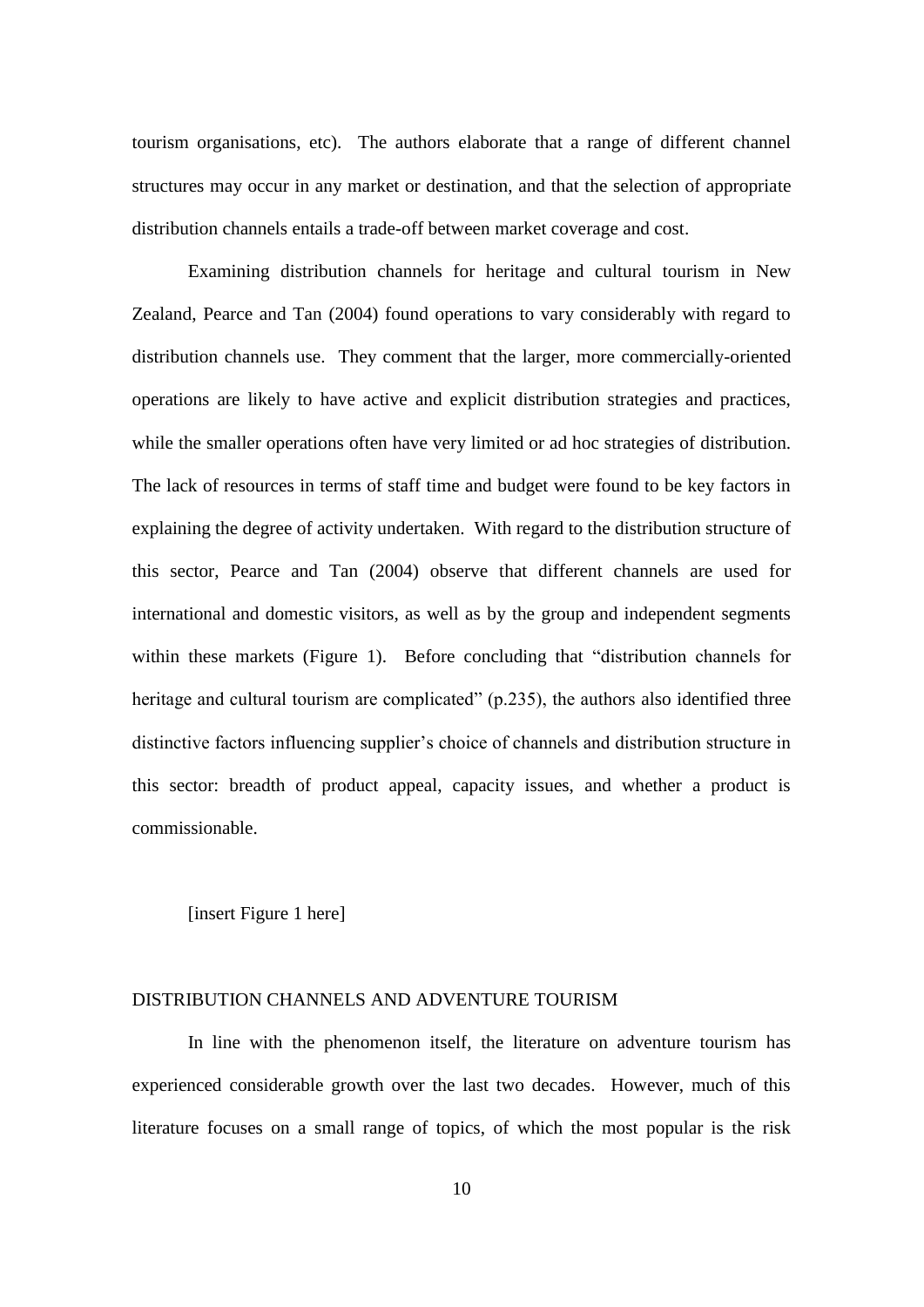tourism organisations, etc). The authors elaborate that a range of different channel structures may occur in any market or destination, and that the selection of appropriate distribution channels entails a trade-off between market coverage and cost.

Examining distribution channels for heritage and cultural tourism in New Zealand, Pearce and Tan (2004) found operations to vary considerably with regard to distribution channels use. They comment that the larger, more commercially-oriented operations are likely to have active and explicit distribution strategies and practices, while the smaller operations often have very limited or ad hoc strategies of distribution. The lack of resources in terms of staff time and budget were found to be key factors in explaining the degree of activity undertaken. With regard to the distribution structure of this sector, Pearce and Tan (2004) observe that different channels are used for international and domestic visitors, as well as by the group and independent segments within these markets (Figure 1). Before concluding that "distribution channels for heritage and cultural tourism are complicated" (p.235), the authors also identified three distinctive factors influencing supplier's choice of channels and distribution structure in this sector: breadth of product appeal, capacity issues, and whether a product is commissionable.

#### [insert Figure 1 here]

#### DISTRIBUTION CHANNELS AND ADVENTURE TOURISM

In line with the phenomenon itself, the literature on adventure tourism has experienced considerable growth over the last two decades. However, much of this literature focuses on a small range of topics, of which the most popular is the risk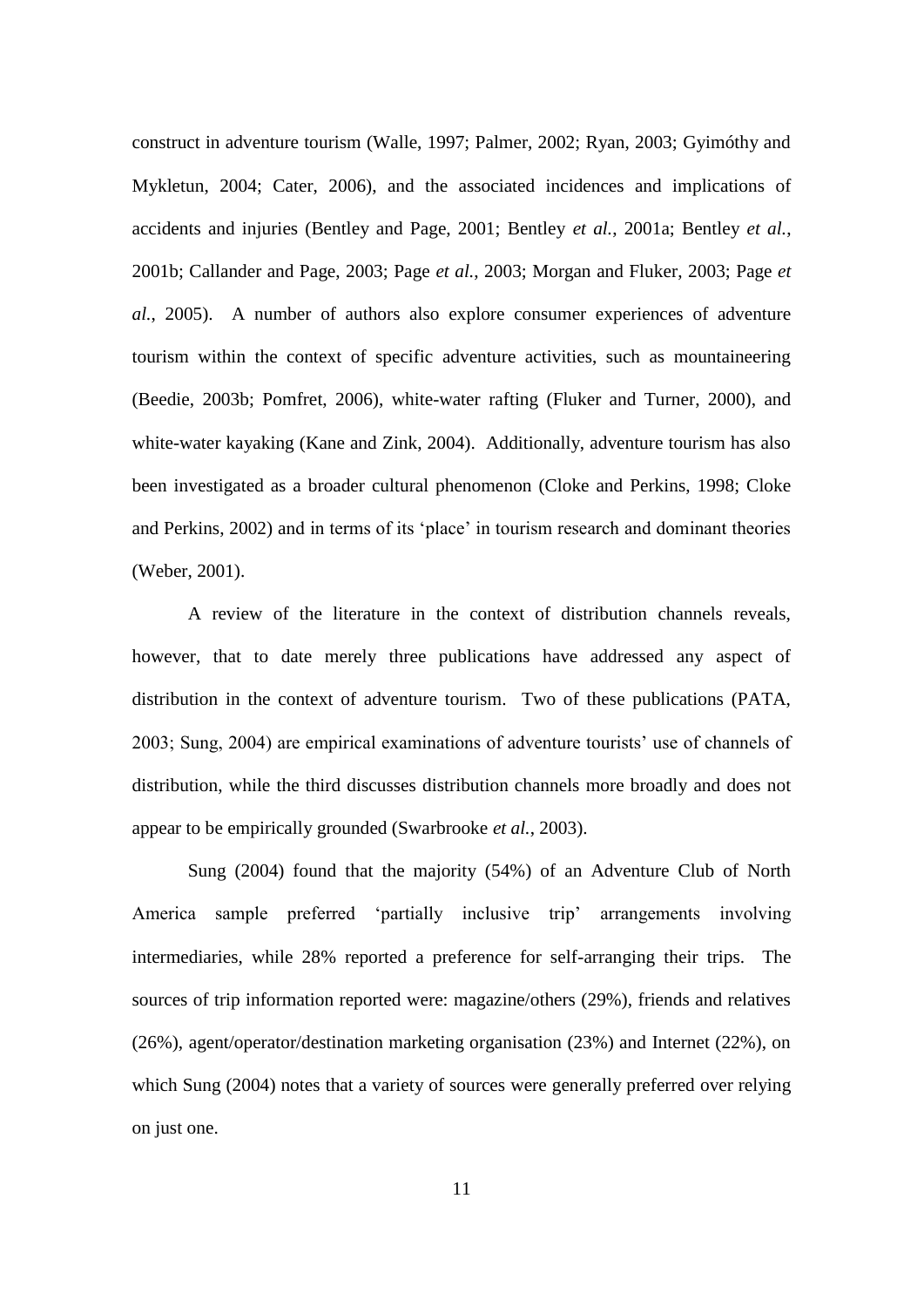construct in adventure tourism (Walle, 1997; Palmer, 2002; Ryan, 2003; Gyimóthy and Mykletun, 2004; Cater, 2006), and the associated incidences and implications of accidents and injuries (Bentley and Page, 2001; Bentley *et al.*, 2001a; Bentley *et al.*, 2001b; Callander and Page, 2003; Page *et al.*, 2003; Morgan and Fluker, 2003; Page *et al.*, 2005). A number of authors also explore consumer experiences of adventure tourism within the context of specific adventure activities, such as mountaineering (Beedie, 2003b; Pomfret, 2006), white-water rafting (Fluker and Turner, 2000), and white-water kayaking (Kane and Zink, 2004). Additionally, adventure tourism has also been investigated as a broader cultural phenomenon (Cloke and Perkins, 1998; Cloke and Perkins, 2002) and in terms of its 'place' in tourism research and dominant theories (Weber, 2001).

A review of the literature in the context of distribution channels reveals, however, that to date merely three publications have addressed any aspect of distribution in the context of adventure tourism. Two of these publications (PATA, 2003; Sung, 2004) are empirical examinations of adventure tourists' use of channels of distribution, while the third discusses distribution channels more broadly and does not appear to be empirically grounded (Swarbrooke *et al.*, 2003).

Sung (2004) found that the majority (54%) of an Adventure Club of North America sample preferred 'partially inclusive trip' arrangements involving intermediaries, while 28% reported a preference for self-arranging their trips. The sources of trip information reported were: magazine/others (29%), friends and relatives (26%), agent/operator/destination marketing organisation (23%) and Internet (22%), on which Sung (2004) notes that a variety of sources were generally preferred over relying on just one.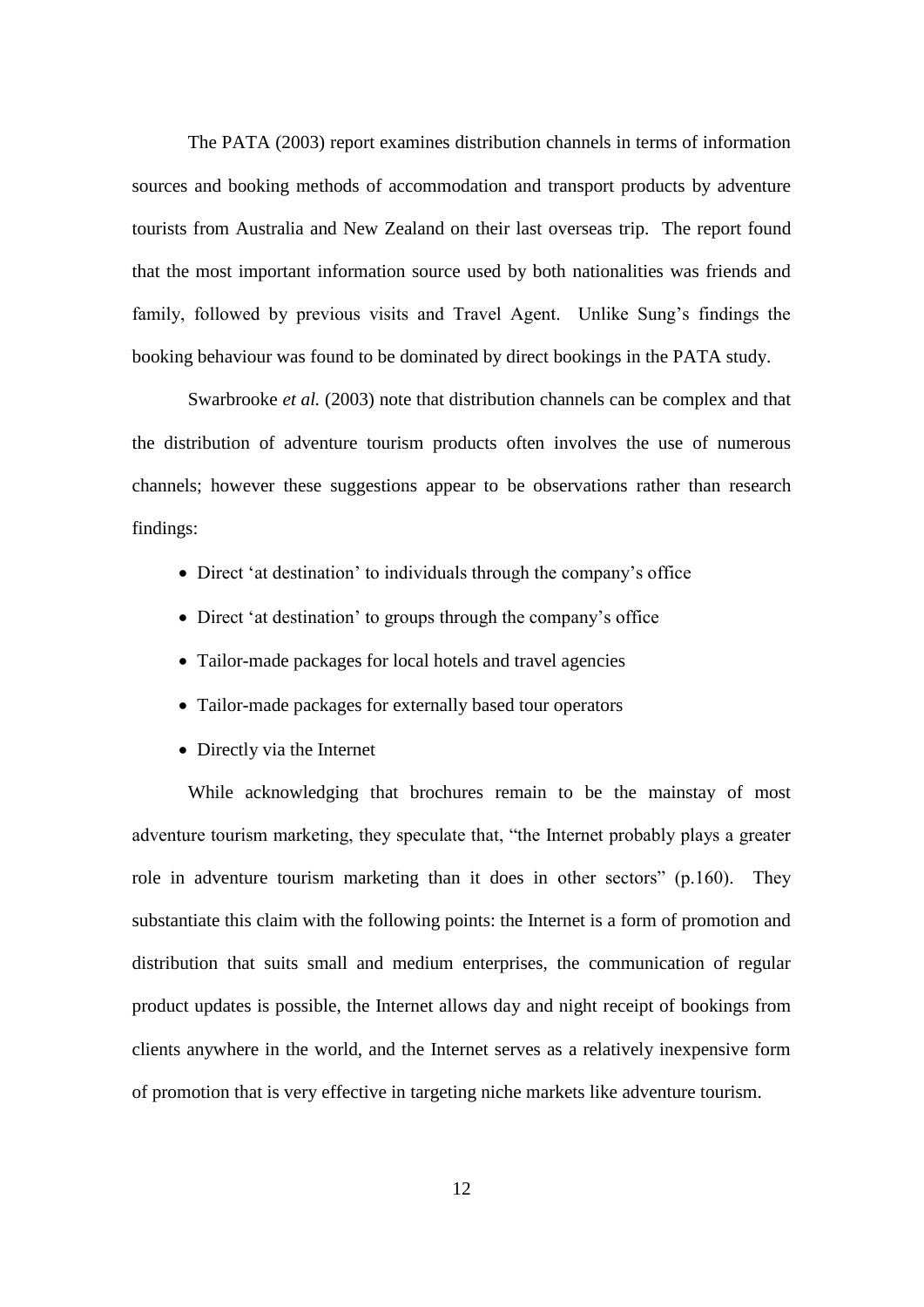The PATA (2003) report examines distribution channels in terms of information sources and booking methods of accommodation and transport products by adventure tourists from Australia and New Zealand on their last overseas trip. The report found that the most important information source used by both nationalities was friends and family, followed by previous visits and Travel Agent. Unlike Sung's findings the booking behaviour was found to be dominated by direct bookings in the PATA study.

Swarbrooke *et al.* (2003) note that distribution channels can be complex and that the distribution of adventure tourism products often involves the use of numerous channels; however these suggestions appear to be observations rather than research findings:

- Direct 'at destination' to individuals through the company's office
- Direct 'at destination' to groups through the company's office
- Tailor-made packages for local hotels and travel agencies
- Tailor-made packages for externally based tour operators
- Directly via the Internet

While acknowledging that brochures remain to be the mainstay of most adventure tourism marketing, they speculate that, "the Internet probably plays a greater role in adventure tourism marketing than it does in other sectors" (p.160). They substantiate this claim with the following points: the Internet is a form of promotion and distribution that suits small and medium enterprises, the communication of regular product updates is possible, the Internet allows day and night receipt of bookings from clients anywhere in the world, and the Internet serves as a relatively inexpensive form of promotion that is very effective in targeting niche markets like adventure tourism.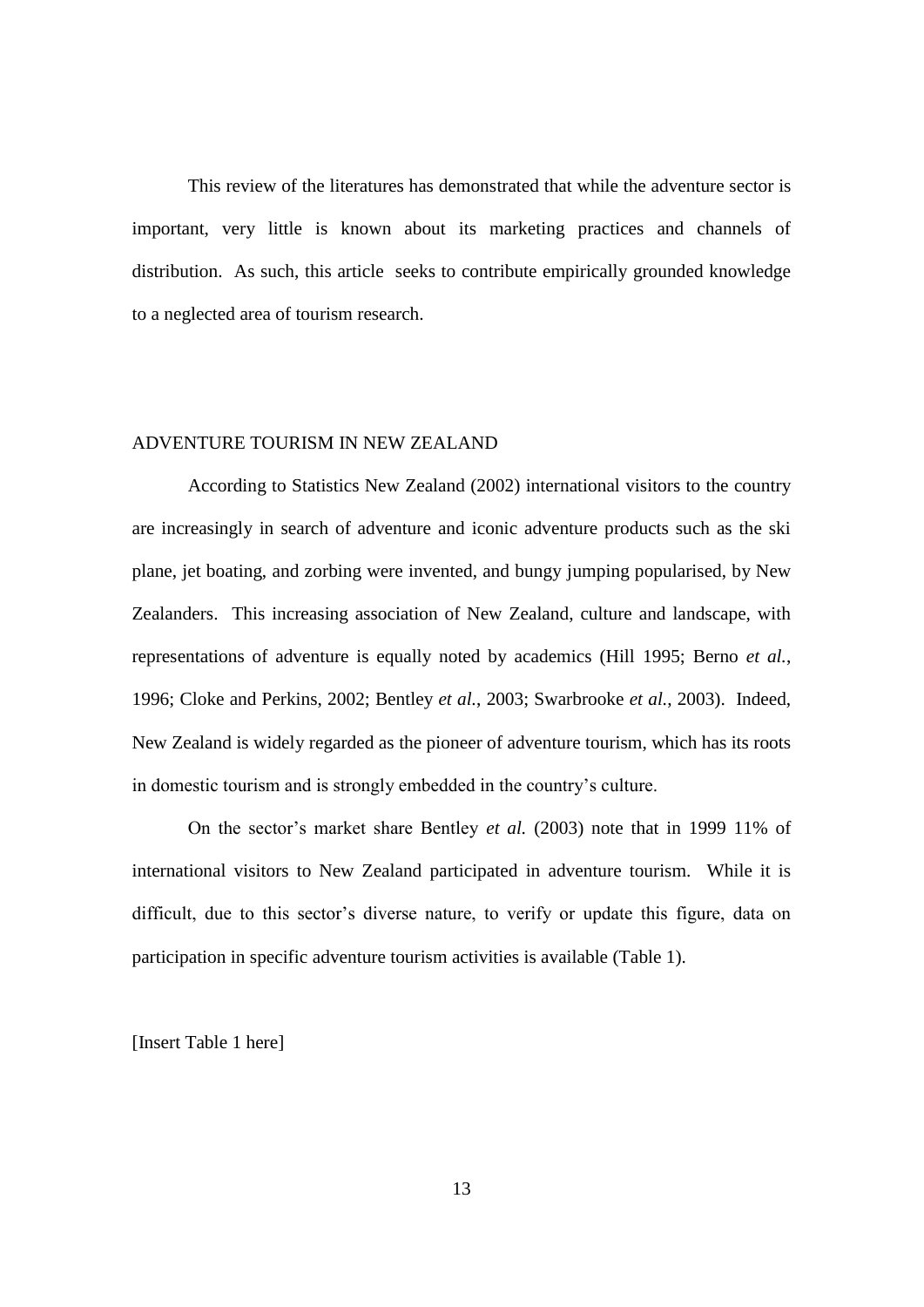This review of the literatures has demonstrated that while the adventure sector is important, very little is known about its marketing practices and channels of distribution. As such, this article seeks to contribute empirically grounded knowledge to a neglected area of tourism research.

#### ADVENTURE TOURISM IN NEW ZEALAND

According to Statistics New Zealand (2002) international visitors to the country are increasingly in search of adventure and iconic adventure products such as the ski plane, jet boating, and zorbing were invented, and bungy jumping popularised, by New Zealanders. This increasing association of New Zealand, culture and landscape, with representations of adventure is equally noted by academics (Hill 1995; Berno *et al.*, 1996; Cloke and Perkins, 2002; Bentley *et al.*, 2003; Swarbrooke *et al.*, 2003). Indeed, New Zealand is widely regarded as the pioneer of adventure tourism, which has its roots in domestic tourism and is strongly embedded in the country's culture.

On the sector's market share Bentley *et al.* (2003) note that in 1999 11% of international visitors to New Zealand participated in adventure tourism. While it is difficult, due to this sector's diverse nature, to verify or update this figure, data on participation in specific adventure tourism activities is available (Table 1).

[Insert Table 1 here]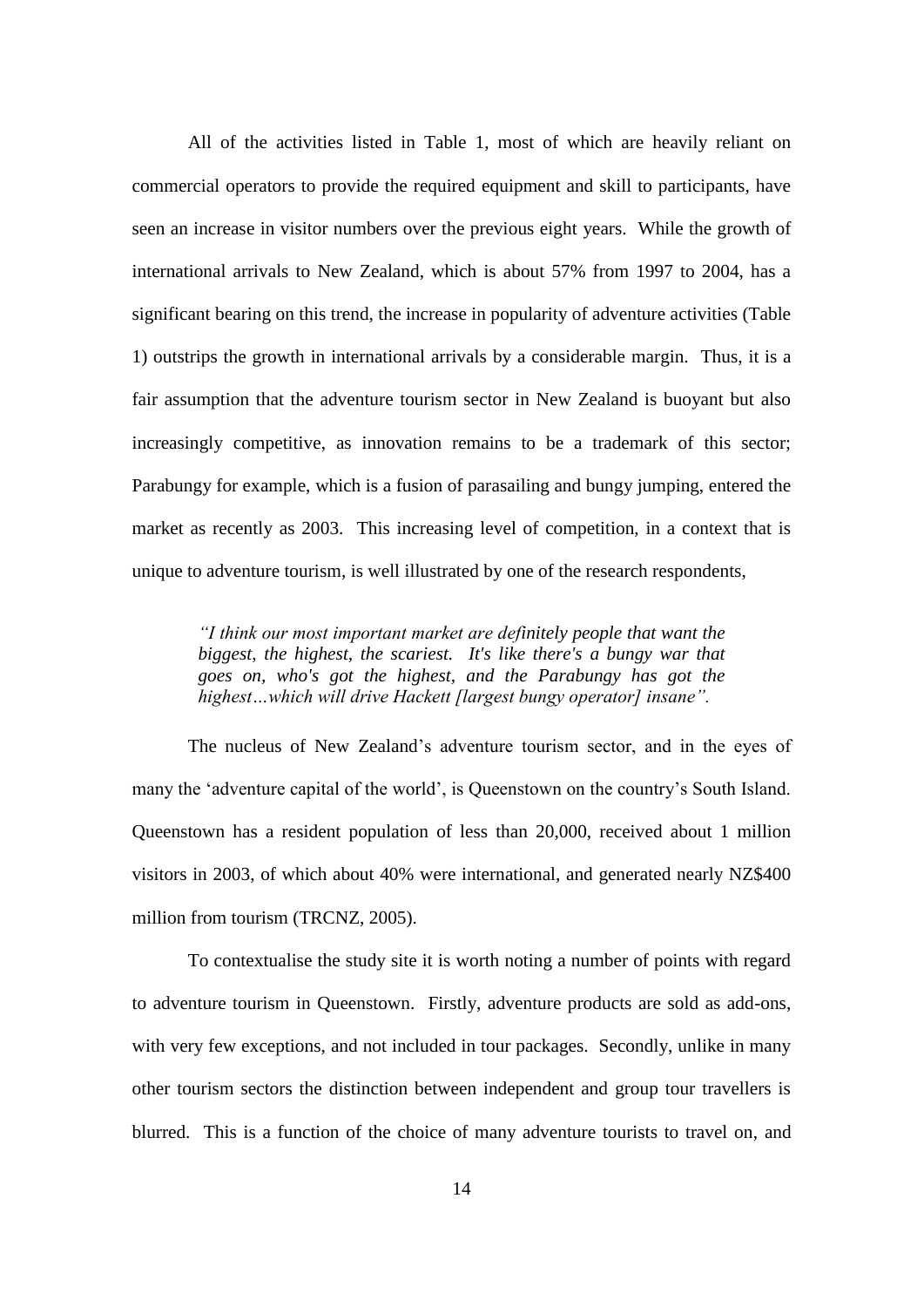All of the activities listed in Table 1, most of which are heavily reliant on commercial operators to provide the required equipment and skill to participants, have seen an increase in visitor numbers over the previous eight years. While the growth of international arrivals to New Zealand, which is about 57% from 1997 to 2004, has a significant bearing on this trend, the increase in popularity of adventure activities (Table 1) outstrips the growth in international arrivals by a considerable margin. Thus, it is a fair assumption that the adventure tourism sector in New Zealand is buoyant but also increasingly competitive, as innovation remains to be a trademark of this sector; Parabungy for example, which is a fusion of parasailing and bungy jumping, entered the market as recently as 2003. This increasing level of competition, in a context that is unique to adventure tourism, is well illustrated by one of the research respondents,

*"I think our most important market are definitely people that want the biggest, the highest, the scariest. It's like there's a bungy war that goes on, who's got the highest, and the Parabungy has got the highest…which will drive Hackett [largest bungy operator] insane".*

The nucleus of New Zealand's adventure tourism sector, and in the eyes of many the 'adventure capital of the world', is Queenstown on the country's South Island. Queenstown has a resident population of less than 20,000, received about 1 million visitors in 2003, of which about 40% were international, and generated nearly NZ\$400 million from tourism (TRCNZ, 2005).

To contextualise the study site it is worth noting a number of points with regard to adventure tourism in Queenstown. Firstly, adventure products are sold as add-ons, with very few exceptions, and not included in tour packages. Secondly, unlike in many other tourism sectors the distinction between independent and group tour travellers is blurred. This is a function of the choice of many adventure tourists to travel on, and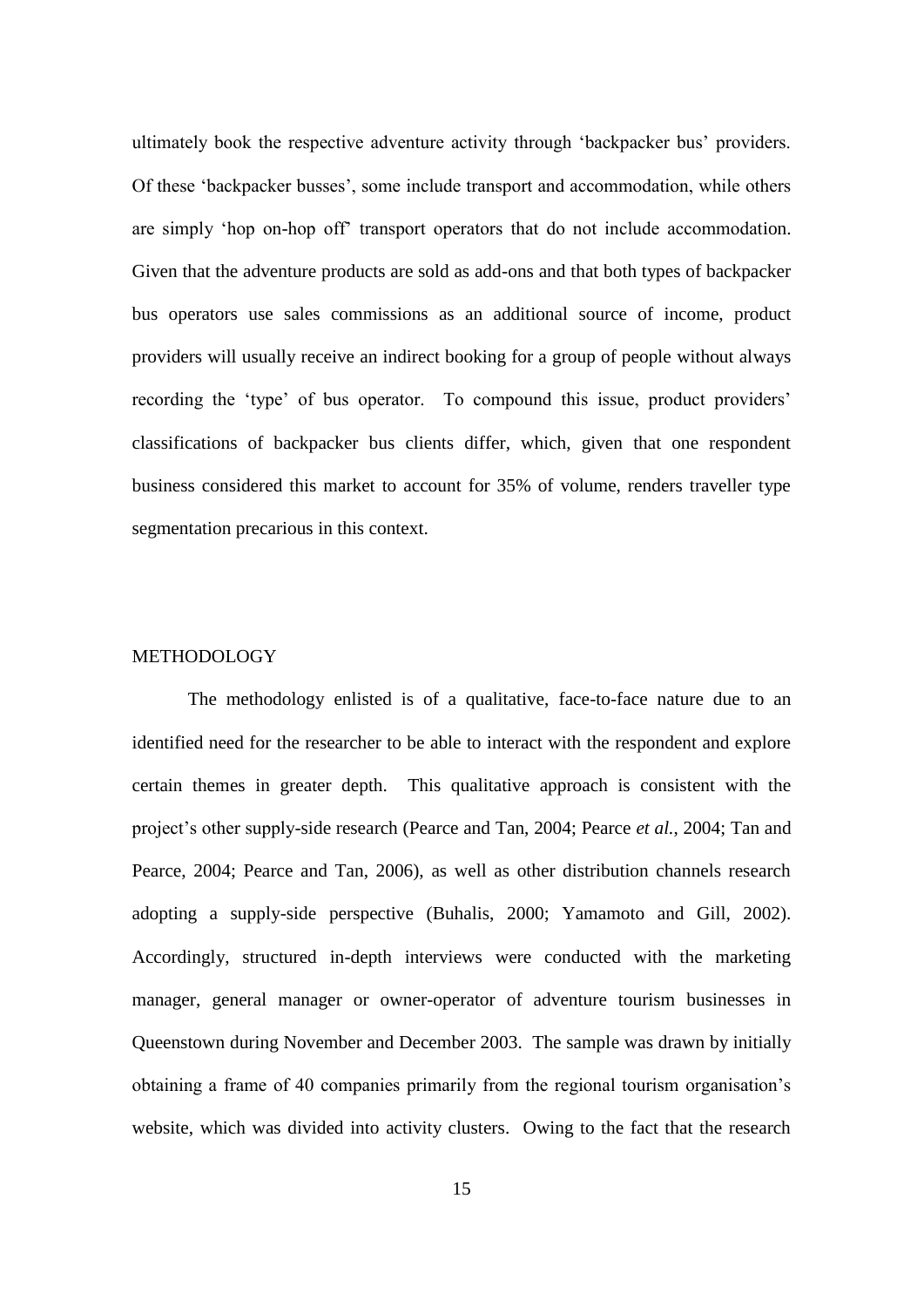ultimately book the respective adventure activity through 'backpacker bus' providers. Of these 'backpacker busses', some include transport and accommodation, while others are simply 'hop on-hop off' transport operators that do not include accommodation. Given that the adventure products are sold as add-ons and that both types of backpacker bus operators use sales commissions as an additional source of income, product providers will usually receive an indirect booking for a group of people without always recording the 'type' of bus operator. To compound this issue, product providers' classifications of backpacker bus clients differ, which, given that one respondent business considered this market to account for 35% of volume, renders traveller type segmentation precarious in this context.

#### **METHODOLOGY**

The methodology enlisted is of a qualitative, face-to-face nature due to an identified need for the researcher to be able to interact with the respondent and explore certain themes in greater depth. This qualitative approach is consistent with the project's other supply-side research (Pearce and Tan, 2004; Pearce *et al.*, 2004; Tan and Pearce, 2004; Pearce and Tan, 2006), as well as other distribution channels research adopting a supply-side perspective (Buhalis, 2000; Yamamoto and Gill, 2002). Accordingly, structured in-depth interviews were conducted with the marketing manager, general manager or owner-operator of adventure tourism businesses in Queenstown during November and December 2003. The sample was drawn by initially obtaining a frame of 40 companies primarily from the regional tourism organisation's website, which was divided into activity clusters. Owing to the fact that the research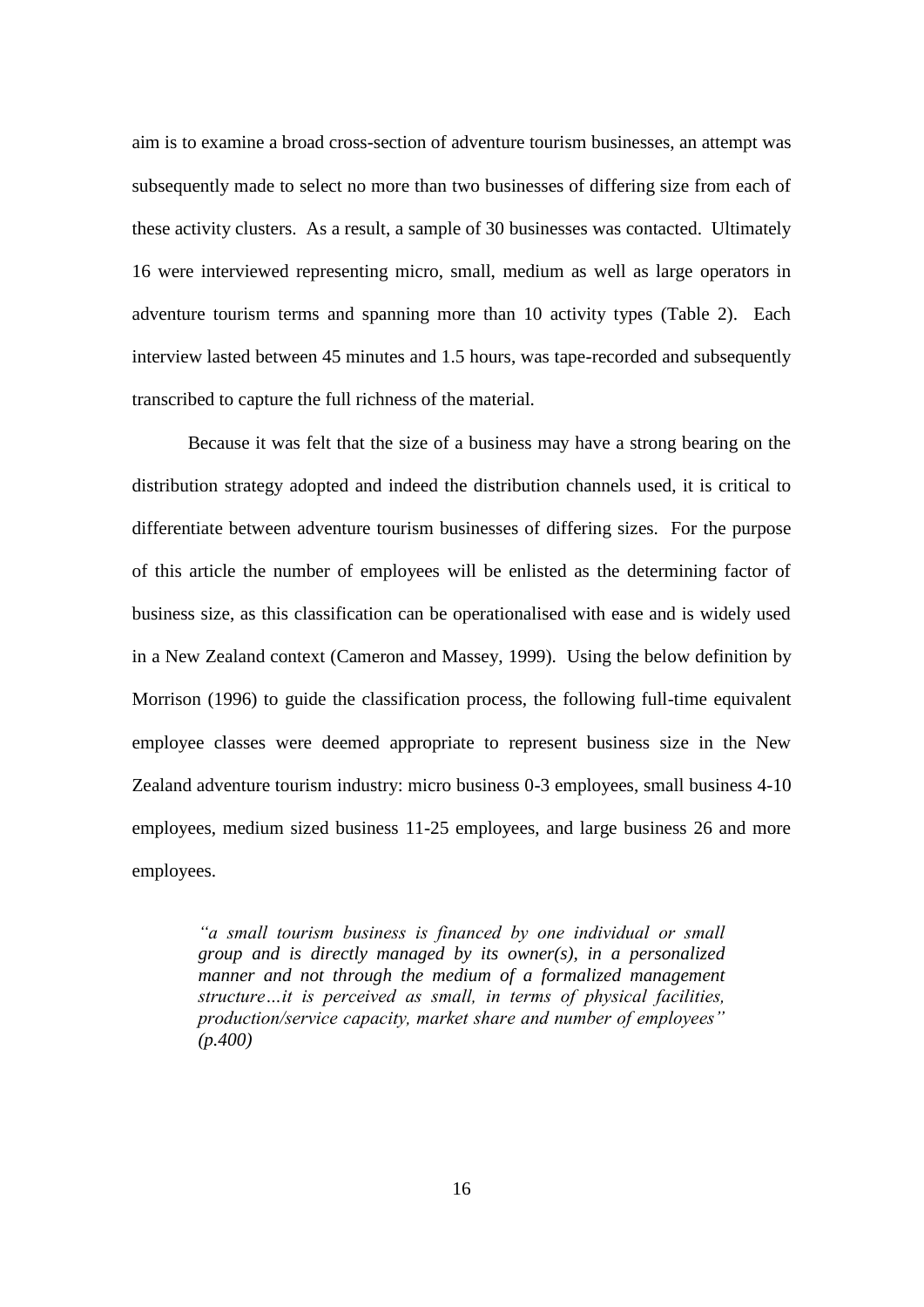aim is to examine a broad cross-section of adventure tourism businesses, an attempt was subsequently made to select no more than two businesses of differing size from each of these activity clusters. As a result, a sample of 30 businesses was contacted. Ultimately 16 were interviewed representing micro, small, medium as well as large operators in adventure tourism terms and spanning more than 10 activity types (Table 2). Each interview lasted between 45 minutes and 1.5 hours, was tape-recorded and subsequently transcribed to capture the full richness of the material.

Because it was felt that the size of a business may have a strong bearing on the distribution strategy adopted and indeed the distribution channels used, it is critical to differentiate between adventure tourism businesses of differing sizes. For the purpose of this article the number of employees will be enlisted as the determining factor of business size, as this classification can be operationalised with ease and is widely used in a New Zealand context (Cameron and Massey, 1999). Using the below definition by Morrison (1996) to guide the classification process, the following full-time equivalent employee classes were deemed appropriate to represent business size in the New Zealand adventure tourism industry: micro business 0-3 employees, small business 4-10 employees, medium sized business 11-25 employees, and large business 26 and more employees.

*"a small tourism business is financed by one individual or small group and is directly managed by its owner(s), in a personalized manner and not through the medium of a formalized management structure…it is perceived as small, in terms of physical facilities, production/service capacity, market share and number of employees" (p.400)*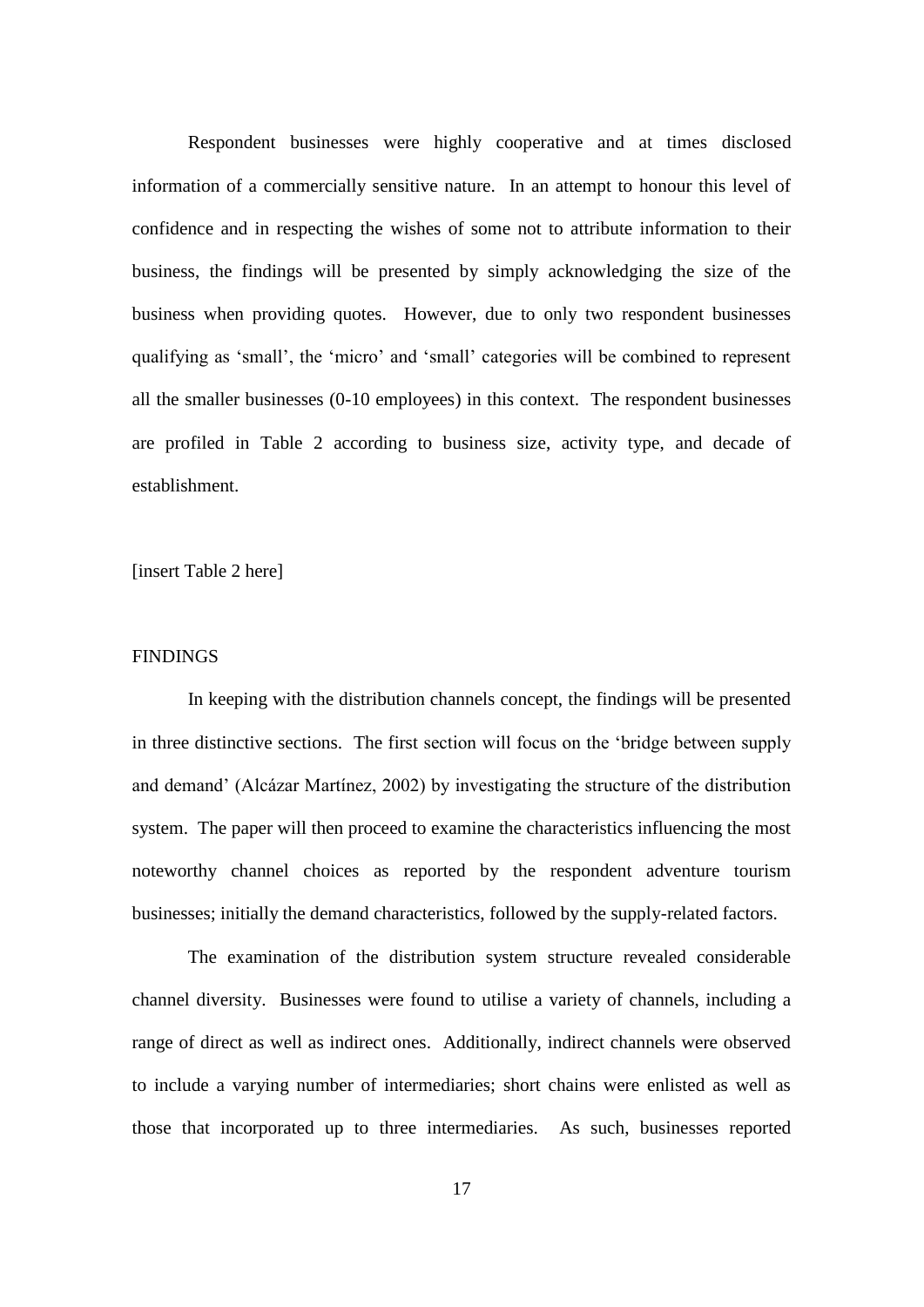Respondent businesses were highly cooperative and at times disclosed information of a commercially sensitive nature. In an attempt to honour this level of confidence and in respecting the wishes of some not to attribute information to their business, the findings will be presented by simply acknowledging the size of the business when providing quotes. However, due to only two respondent businesses qualifying as 'small', the 'micro' and 'small' categories will be combined to represent all the smaller businesses (0-10 employees) in this context. The respondent businesses are profiled in Table 2 according to business size, activity type, and decade of establishment.

[insert Table 2 here]

## **FINDINGS**

In keeping with the distribution channels concept, the findings will be presented in three distinctive sections. The first section will focus on the 'bridge between supply and demand' (Alcázar Martínez, 2002) by investigating the structure of the distribution system. The paper will then proceed to examine the characteristics influencing the most noteworthy channel choices as reported by the respondent adventure tourism businesses; initially the demand characteristics, followed by the supply-related factors.

The examination of the distribution system structure revealed considerable channel diversity. Businesses were found to utilise a variety of channels, including a range of direct as well as indirect ones. Additionally, indirect channels were observed to include a varying number of intermediaries; short chains were enlisted as well as those that incorporated up to three intermediaries. As such, businesses reported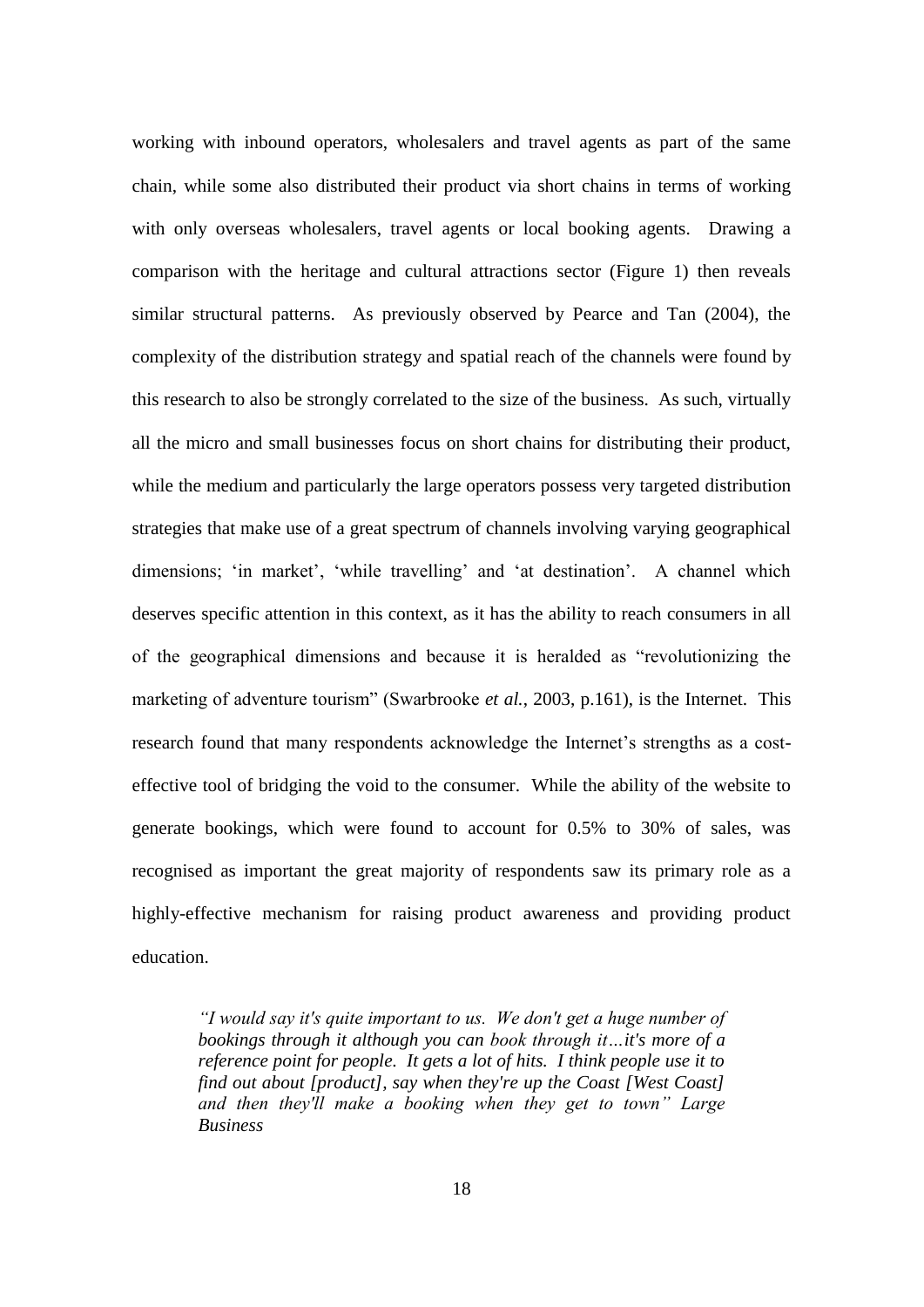working with inbound operators, wholesalers and travel agents as part of the same chain, while some also distributed their product via short chains in terms of working with only overseas wholesalers, travel agents or local booking agents. Drawing a comparison with the heritage and cultural attractions sector (Figure 1) then reveals similar structural patterns. As previously observed by Pearce and Tan (2004), the complexity of the distribution strategy and spatial reach of the channels were found by this research to also be strongly correlated to the size of the business. As such, virtually all the micro and small businesses focus on short chains for distributing their product, while the medium and particularly the large operators possess very targeted distribution strategies that make use of a great spectrum of channels involving varying geographical dimensions; 'in market', 'while travelling' and 'at destination'. A channel which deserves specific attention in this context, as it has the ability to reach consumers in all of the geographical dimensions and because it is heralded as "revolutionizing the marketing of adventure tourism" (Swarbrooke *et al.*, 2003, p.161), is the Internet. This research found that many respondents acknowledge the Internet's strengths as a costeffective tool of bridging the void to the consumer. While the ability of the website to generate bookings, which were found to account for 0.5% to 30% of sales, was recognised as important the great majority of respondents saw its primary role as a highly-effective mechanism for raising product awareness and providing product education.

*"I would say it's quite important to us. We don't get a huge number of bookings through it although you can book through it…it's more of a reference point for people. It gets a lot of hits. I think people use it to find out about [product], say when they're up the Coast [West Coast] and then they'll make a booking when they get to town" Large Business*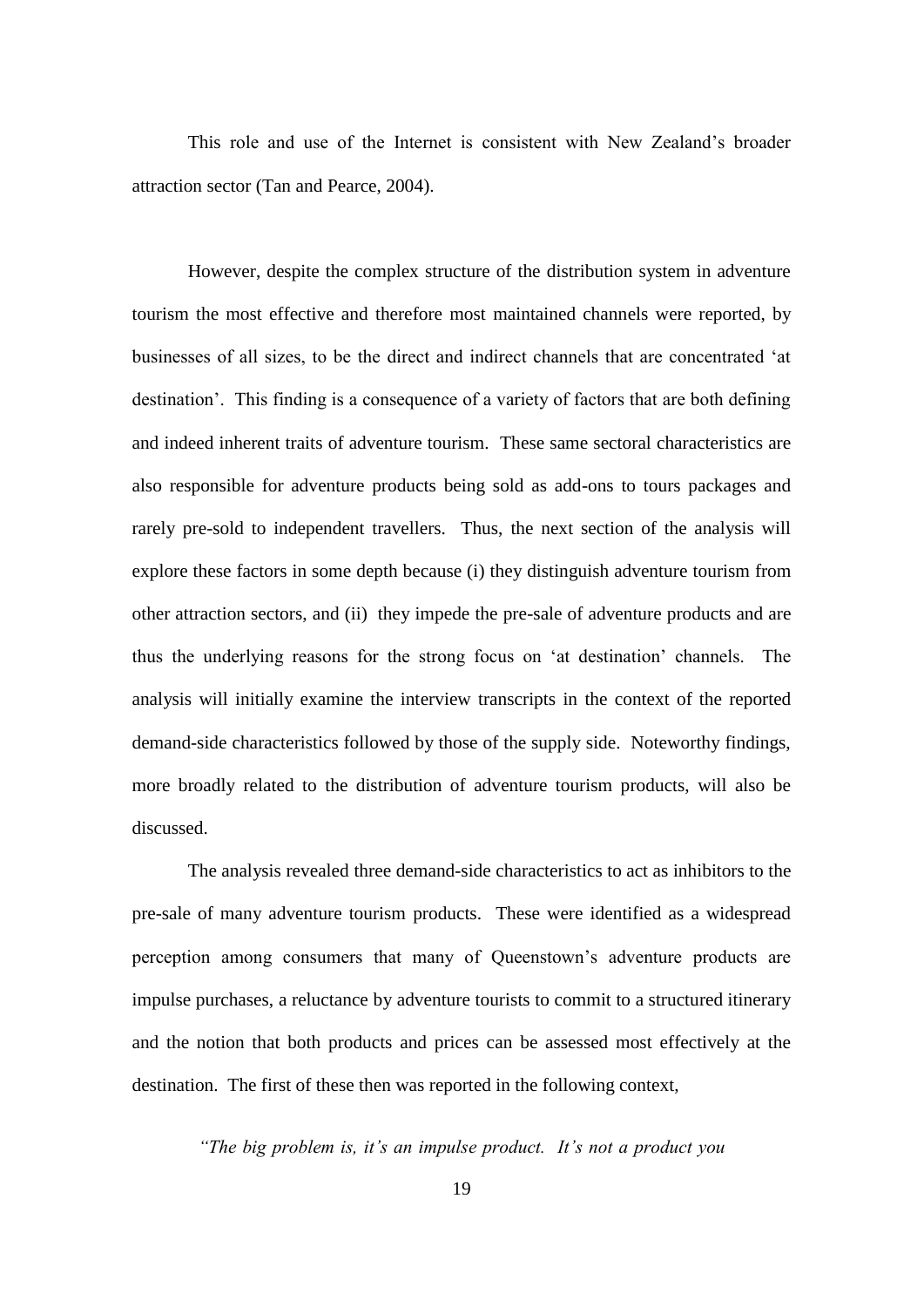This role and use of the Internet is consistent with New Zealand's broader attraction sector (Tan and Pearce, 2004).

However, despite the complex structure of the distribution system in adventure tourism the most effective and therefore most maintained channels were reported, by businesses of all sizes, to be the direct and indirect channels that are concentrated 'at destination'. This finding is a consequence of a variety of factors that are both defining and indeed inherent traits of adventure tourism. These same sectoral characteristics are also responsible for adventure products being sold as add-ons to tours packages and rarely pre-sold to independent travellers. Thus, the next section of the analysis will explore these factors in some depth because (i) they distinguish adventure tourism from other attraction sectors, and (ii) they impede the pre-sale of adventure products and are thus the underlying reasons for the strong focus on 'at destination' channels. The analysis will initially examine the interview transcripts in the context of the reported demand-side characteristics followed by those of the supply side. Noteworthy findings, more broadly related to the distribution of adventure tourism products, will also be discussed.

The analysis revealed three demand-side characteristics to act as inhibitors to the pre-sale of many adventure tourism products. These were identified as a widespread perception among consumers that many of Queenstown's adventure products are impulse purchases, a reluctance by adventure tourists to commit to a structured itinerary and the notion that both products and prices can be assessed most effectively at the destination. The first of these then was reported in the following context,

## *"The big problem is, it's an impulse product. It's not a product you*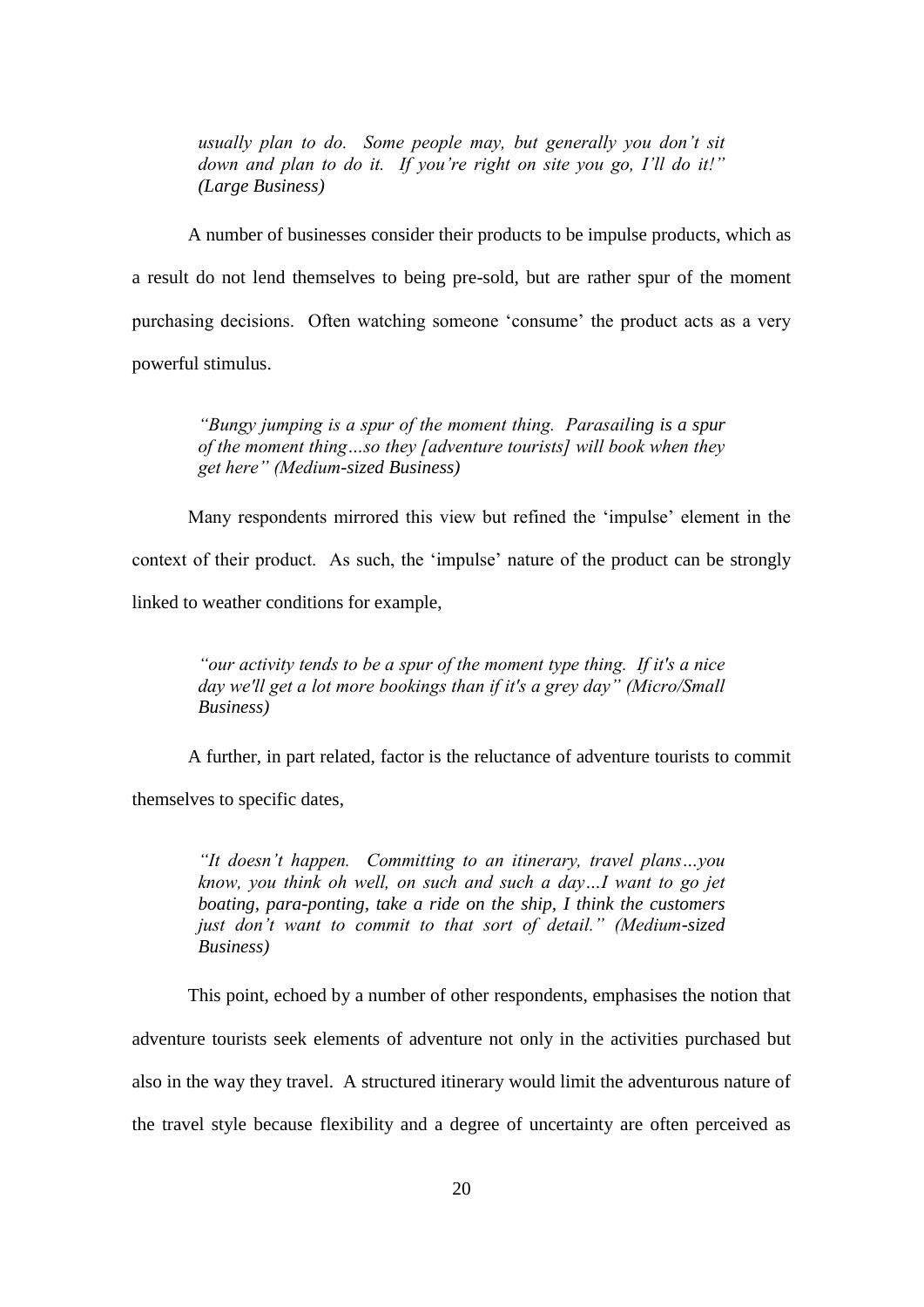*usually plan to do. Some people may, but generally you don't sit down and plan to do it. If you're right on site you go, I'll do it!" (Large Business)* 

A number of businesses consider their products to be impulse products, which as a result do not lend themselves to being pre-sold, but are rather spur of the moment purchasing decisions. Often watching someone 'consume' the product acts as a very powerful stimulus.

*"Bungy jumping is a spur of the moment thing. Parasailing is a spur of the moment thing…so they [adventure tourists] will book when they get here" (Medium-sized Business)*

Many respondents mirrored this view but refined the 'impulse' element in the context of their product. As such, the 'impulse' nature of the product can be strongly linked to weather conditions for example,

*"our activity tends to be a spur of the moment type thing. If it's a nice day we'll get a lot more bookings than if it's a grey day" (Micro/Small Business)*

A further, in part related, factor is the reluctance of adventure tourists to commit

themselves to specific dates,

*"It doesn't happen. Committing to an itinerary, travel plans…you know, you think oh well, on such and such a day…I want to go jet boating, para-ponting, take a ride on the ship, I think the customers just don't want to commit to that sort of detail." (Medium-sized Business)*

This point, echoed by a number of other respondents, emphasises the notion that adventure tourists seek elements of adventure not only in the activities purchased but also in the way they travel. A structured itinerary would limit the adventurous nature of the travel style because flexibility and a degree of uncertainty are often perceived as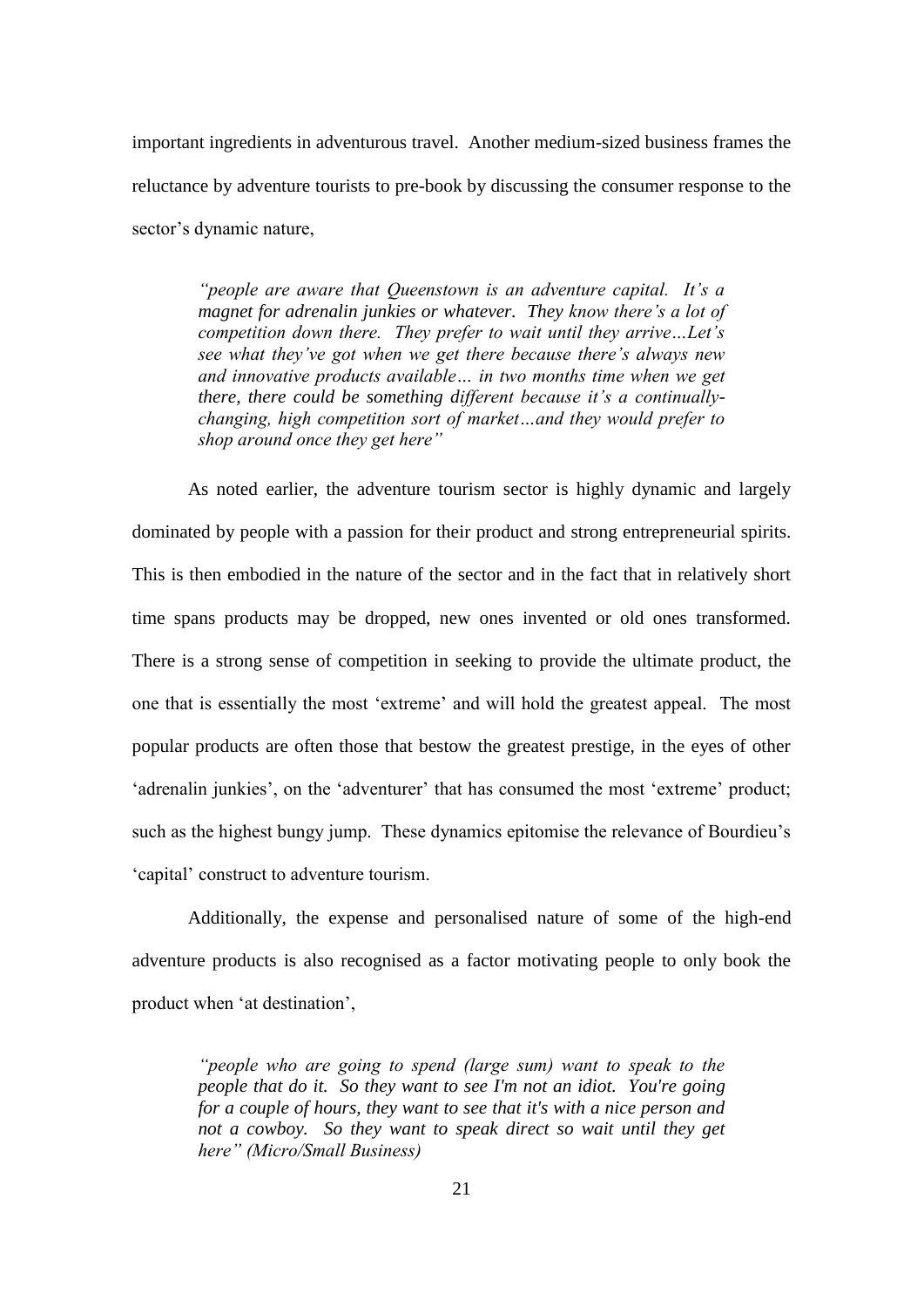important ingredients in adventurous travel. Another medium-sized business frames the reluctance by adventure tourists to pre-book by discussing the consumer response to the sector's dynamic nature,

*"people are aware that Queenstown is an adventure capital. It's a magnet for adrenalin junkies or whatever. They know there's a lot of competition down there. They prefer to wait until they arrive…Let's see what they've got when we get there because there's always new and innovative products available… in two months time when we get there, there could be something different because it's a continuallychanging, high competition sort of market…and they would prefer to shop around once they get here"* 

As noted earlier, the adventure tourism sector is highly dynamic and largely dominated by people with a passion for their product and strong entrepreneurial spirits. This is then embodied in the nature of the sector and in the fact that in relatively short time spans products may be dropped, new ones invented or old ones transformed. There is a strong sense of competition in seeking to provide the ultimate product, the one that is essentially the most 'extreme' and will hold the greatest appeal. The most popular products are often those that bestow the greatest prestige, in the eyes of other 'adrenalin junkies', on the 'adventurer' that has consumed the most 'extreme' product; such as the highest bungy jump. These dynamics epitomise the relevance of Bourdieu's 'capital' construct to adventure tourism.

Additionally, the expense and personalised nature of some of the high-end adventure products is also recognised as a factor motivating people to only book the product when 'at destination',

*"people who are going to spend (large sum) want to speak to the people that do it. So they want to see I'm not an idiot. You're going for a couple of hours, they want to see that it's with a nice person and not a cowboy. So they want to speak direct so wait until they get here" (Micro/Small Business)*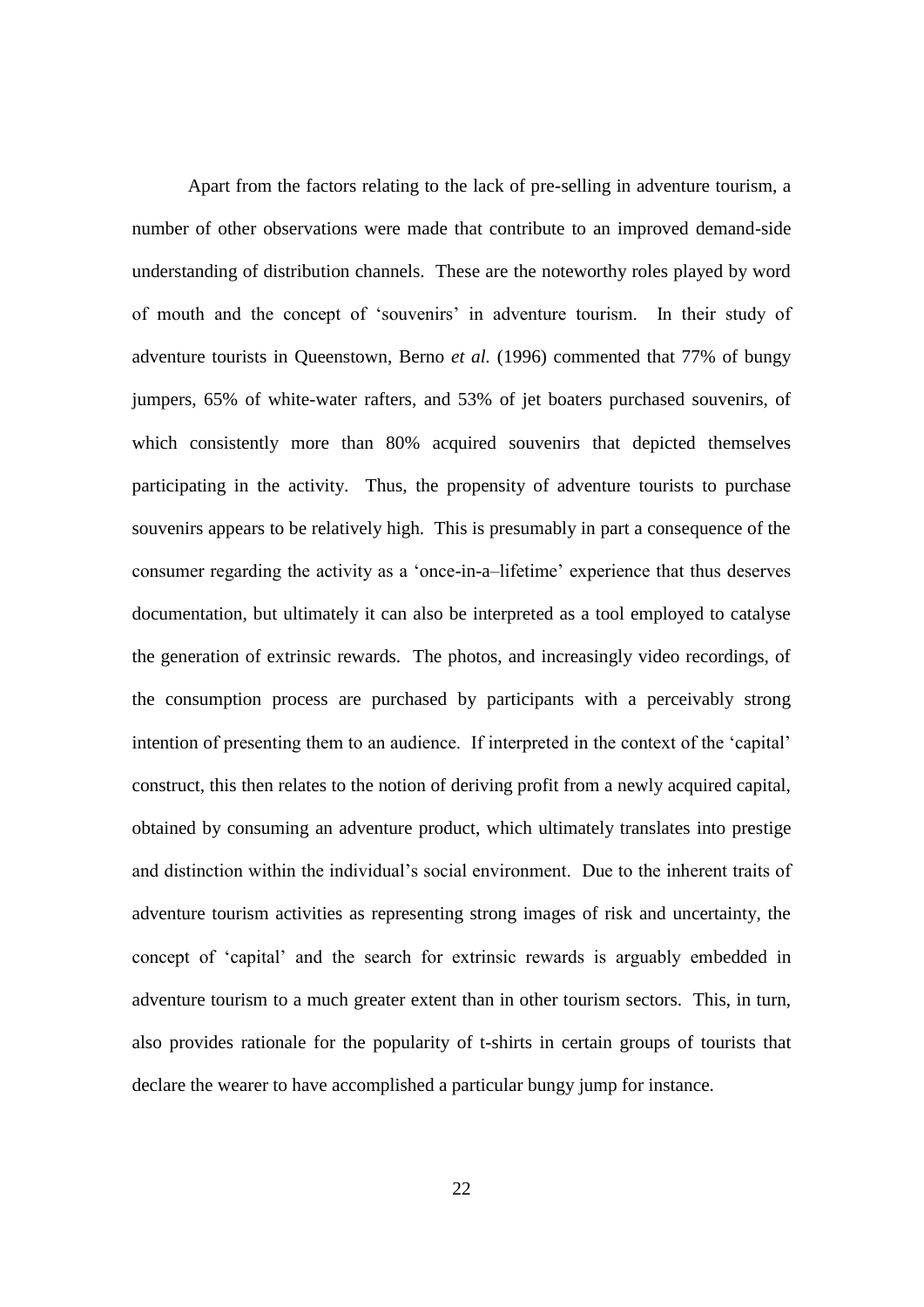Apart from the factors relating to the lack of pre-selling in adventure tourism, a number of other observations were made that contribute to an improved demand-side understanding of distribution channels. These are the noteworthy roles played by word of mouth and the concept of 'souvenirs' in adventure tourism. In their study of adventure tourists in Queenstown, Berno *et al.* (1996) commented that 77% of bungy jumpers, 65% of white-water rafters, and 53% of jet boaters purchased souvenirs, of which consistently more than 80% acquired souvenirs that depicted themselves participating in the activity. Thus, the propensity of adventure tourists to purchase souvenirs appears to be relatively high. This is presumably in part a consequence of the consumer regarding the activity as a 'once-in-a–lifetime' experience that thus deserves documentation, but ultimately it can also be interpreted as a tool employed to catalyse the generation of extrinsic rewards. The photos, and increasingly video recordings, of the consumption process are purchased by participants with a perceivably strong intention of presenting them to an audience. If interpreted in the context of the 'capital' construct, this then relates to the notion of deriving profit from a newly acquired capital, obtained by consuming an adventure product, which ultimately translates into prestige and distinction within the individual's social environment. Due to the inherent traits of adventure tourism activities as representing strong images of risk and uncertainty, the concept of 'capital' and the search for extrinsic rewards is arguably embedded in adventure tourism to a much greater extent than in other tourism sectors. This, in turn, also provides rationale for the popularity of t-shirts in certain groups of tourists that declare the wearer to have accomplished a particular bungy jump for instance.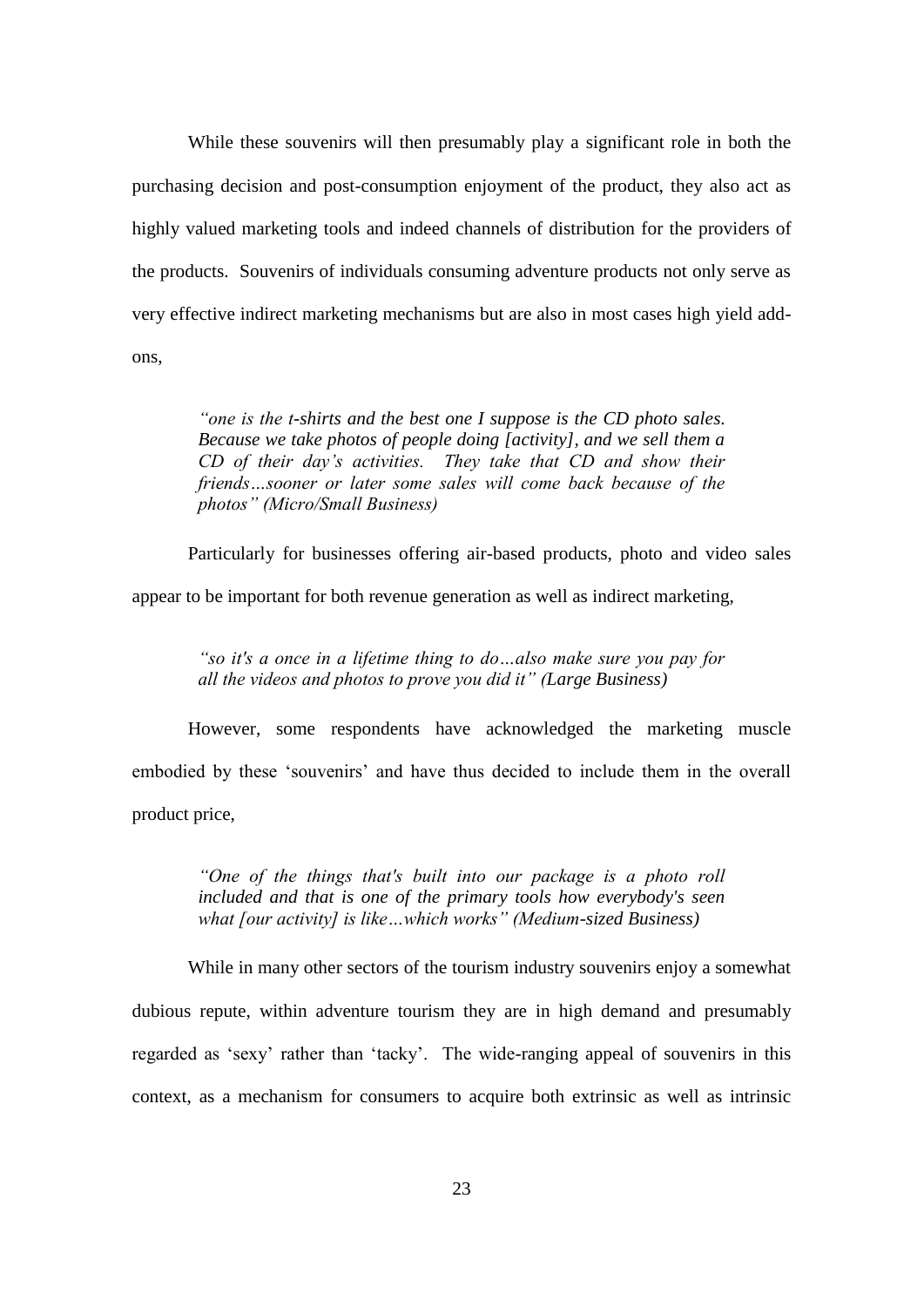While these souvenirs will then presumably play a significant role in both the purchasing decision and post-consumption enjoyment of the product, they also act as highly valued marketing tools and indeed channels of distribution for the providers of the products. Souvenirs of individuals consuming adventure products not only serve as very effective indirect marketing mechanisms but are also in most cases high yield addons,

*"one is the t-shirts and the best one I suppose is the CD photo sales. Because we take photos of people doing [activity], and we sell them a CD of their day's activities. They take that CD and show their friends…sooner or later some sales will come back because of the photos" (Micro/Small Business)*

Particularly for businesses offering air-based products, photo and video sales appear to be important for both revenue generation as well as indirect marketing,

*"so it's a once in a lifetime thing to do…also make sure you pay for all the videos and photos to prove you did it" (Large Business)*

However, some respondents have acknowledged the marketing muscle embodied by these 'souvenirs' and have thus decided to include them in the overall product price,

*"One of the things that's built into our package is a photo roll included and that is one of the primary tools how everybody's seen what [our activity] is like…which works" (Medium-sized Business)*

While in many other sectors of the tourism industry souvenirs enjoy a somewhat dubious repute, within adventure tourism they are in high demand and presumably regarded as 'sexy' rather than 'tacky'. The wide-ranging appeal of souvenirs in this context, as a mechanism for consumers to acquire both extrinsic as well as intrinsic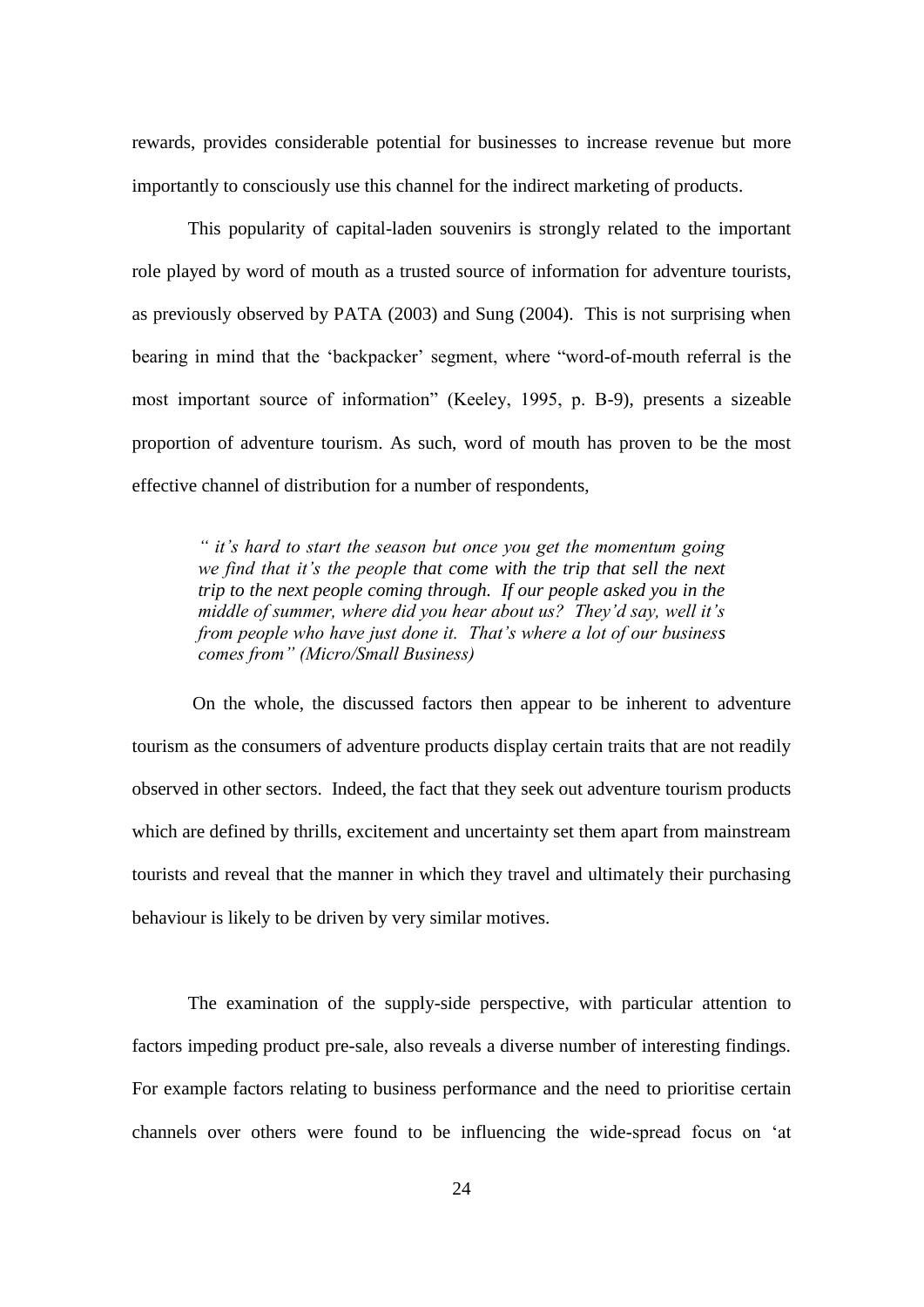rewards, provides considerable potential for businesses to increase revenue but more importantly to consciously use this channel for the indirect marketing of products.

This popularity of capital-laden souvenirs is strongly related to the important role played by word of mouth as a trusted source of information for adventure tourists, as previously observed by PATA (2003) and Sung (2004). This is not surprising when bearing in mind that the 'backpacker' segment, where "word-of-mouth referral is the most important source of information" (Keeley, 1995, p. B-9), presents a sizeable proportion of adventure tourism. As such, word of mouth has proven to be the most effective channel of distribution for a number of respondents,

*" it's hard to start the season but once you get the momentum going we find that it's the people that come with the trip that sell the next trip to the next people coming through. If our people asked you in the middle of summer, where did you hear about us? They'd say, well it's from people who have just done it. That's where a lot of our business comes from" (Micro/Small Business)* 

On the whole, the discussed factors then appear to be inherent to adventure tourism as the consumers of adventure products display certain traits that are not readily observed in other sectors. Indeed, the fact that they seek out adventure tourism products which are defined by thrills, excitement and uncertainty set them apart from mainstream tourists and reveal that the manner in which they travel and ultimately their purchasing behaviour is likely to be driven by very similar motives.

The examination of the supply-side perspective, with particular attention to factors impeding product pre-sale, also reveals a diverse number of interesting findings. For example factors relating to business performance and the need to prioritise certain channels over others were found to be influencing the wide-spread focus on 'at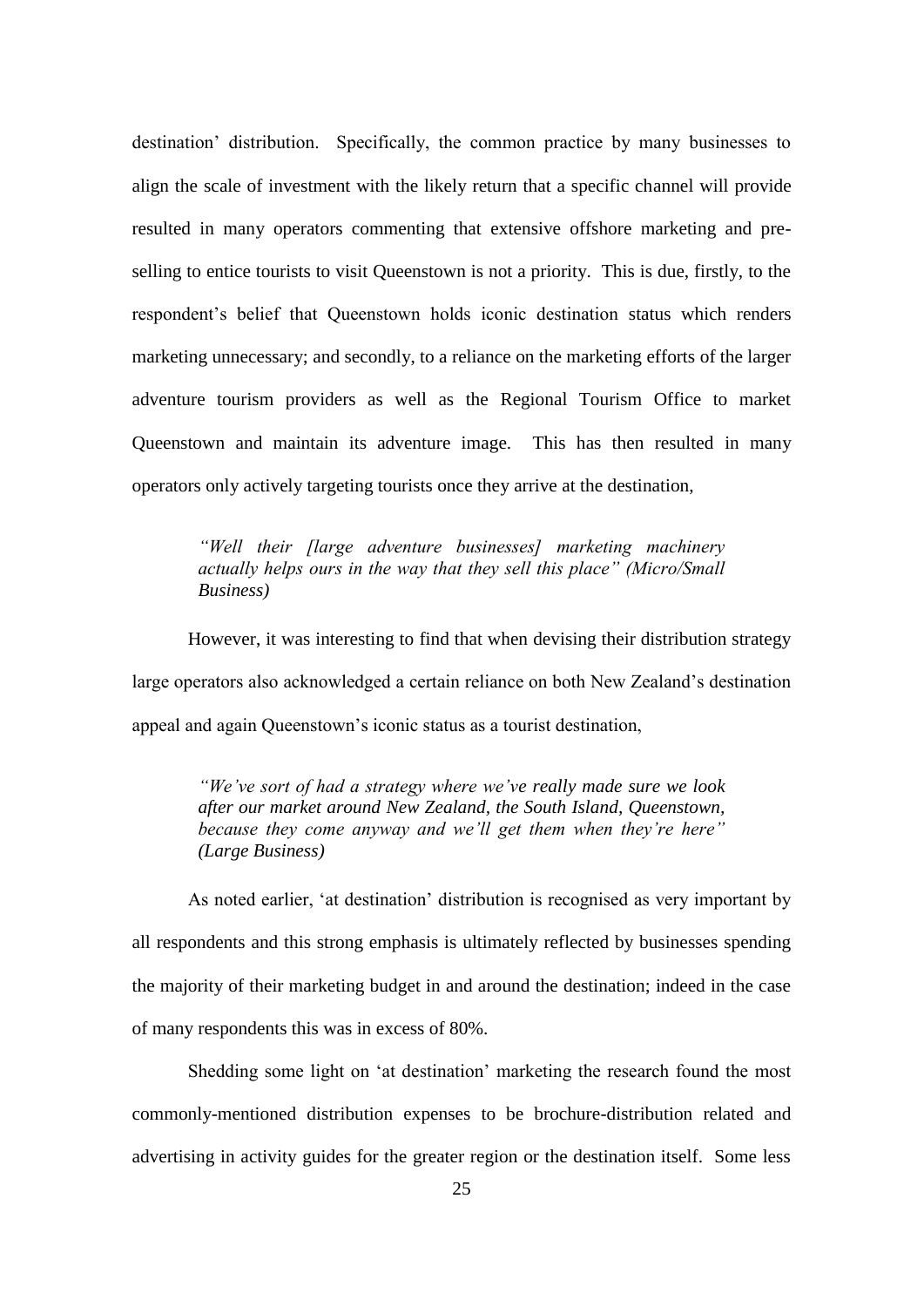destination' distribution. Specifically, the common practice by many businesses to align the scale of investment with the likely return that a specific channel will provide resulted in many operators commenting that extensive offshore marketing and preselling to entice tourists to visit Queenstown is not a priority. This is due, firstly, to the respondent's belief that Queenstown holds iconic destination status which renders marketing unnecessary; and secondly, to a reliance on the marketing efforts of the larger adventure tourism providers as well as the Regional Tourism Office to market Queenstown and maintain its adventure image. This has then resulted in many operators only actively targeting tourists once they arrive at the destination,

*"Well their [large adventure businesses] marketing machinery actually helps ours in the way that they sell this place" (Micro/Small Business)*

However, it was interesting to find that when devising their distribution strategy large operators also acknowledged a certain reliance on both New Zealand's destination appeal and again Queenstown's iconic status as a tourist destination,

*"We've sort of had a strategy where we've really made sure we look after our market around New Zealand, the South Island, Queenstown, because they come anyway and we'll get them when they're here" (Large Business)*

As noted earlier, 'at destination' distribution is recognised as very important by all respondents and this strong emphasis is ultimately reflected by businesses spending the majority of their marketing budget in and around the destination; indeed in the case of many respondents this was in excess of 80%.

Shedding some light on 'at destination' marketing the research found the most commonly-mentioned distribution expenses to be brochure-distribution related and advertising in activity guides for the greater region or the destination itself. Some less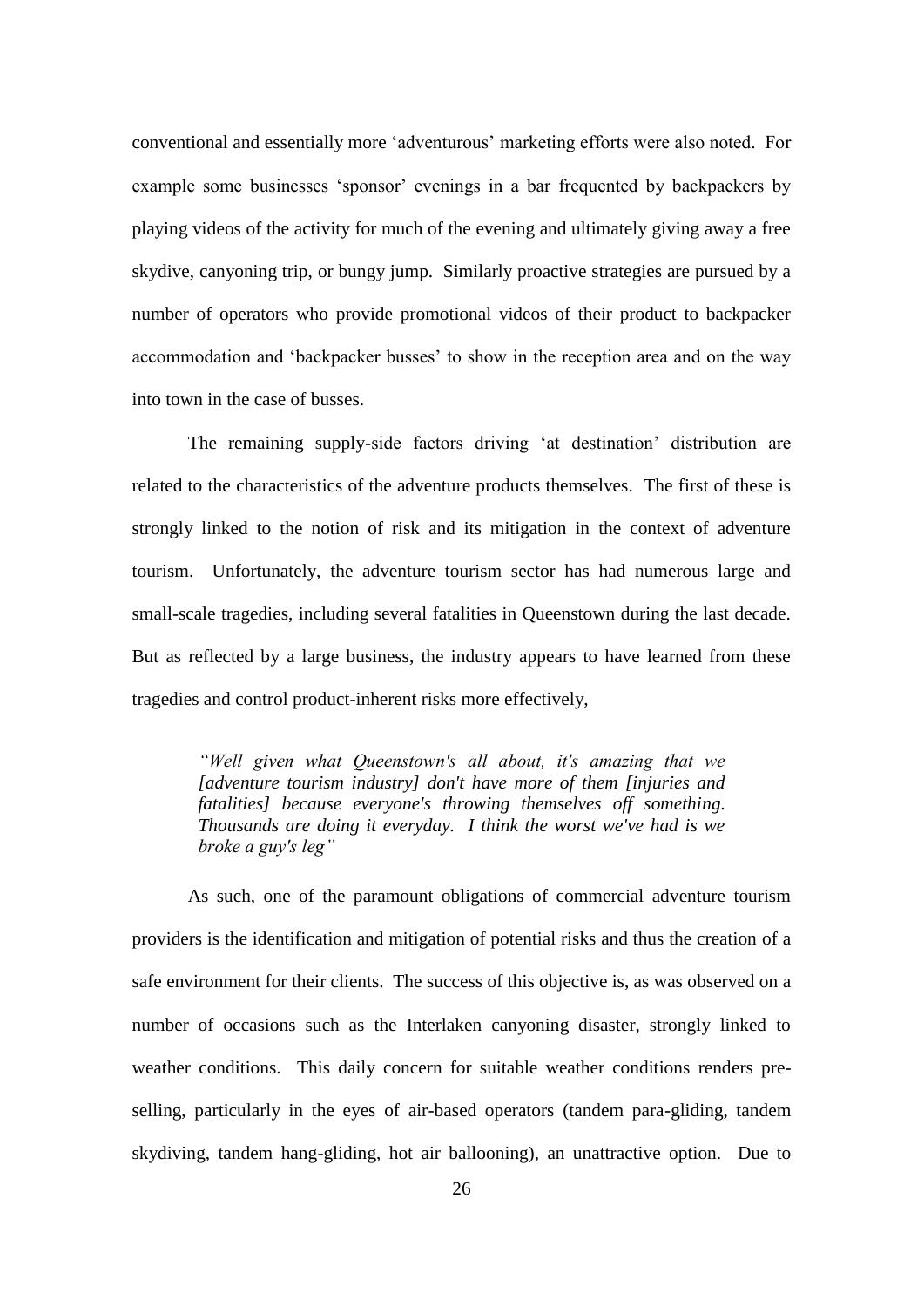conventional and essentially more 'adventurous' marketing efforts were also noted. For example some businesses 'sponsor' evenings in a bar frequented by backpackers by playing videos of the activity for much of the evening and ultimately giving away a free skydive, canyoning trip, or bungy jump. Similarly proactive strategies are pursued by a number of operators who provide promotional videos of their product to backpacker accommodation and 'backpacker busses' to show in the reception area and on the way into town in the case of busses.

The remaining supply-side factors driving 'at destination' distribution are related to the characteristics of the adventure products themselves. The first of these is strongly linked to the notion of risk and its mitigation in the context of adventure tourism. Unfortunately, the adventure tourism sector has had numerous large and small-scale tragedies, including several fatalities in Queenstown during the last decade. But as reflected by a large business, the industry appears to have learned from these tragedies and control product-inherent risks more effectively,

*"Well given what Queenstown's all about, it's amazing that we [adventure tourism industry] don't have more of them [injuries and fatalities] because everyone's throwing themselves off something. Thousands are doing it everyday. I think the worst we've had is we broke a guy's leg"* 

As such, one of the paramount obligations of commercial adventure tourism providers is the identification and mitigation of potential risks and thus the creation of a safe environment for their clients. The success of this objective is, as was observed on a number of occasions such as the Interlaken canyoning disaster, strongly linked to weather conditions. This daily concern for suitable weather conditions renders preselling, particularly in the eyes of air-based operators (tandem para-gliding, tandem skydiving, tandem hang-gliding, hot air ballooning), an unattractive option. Due to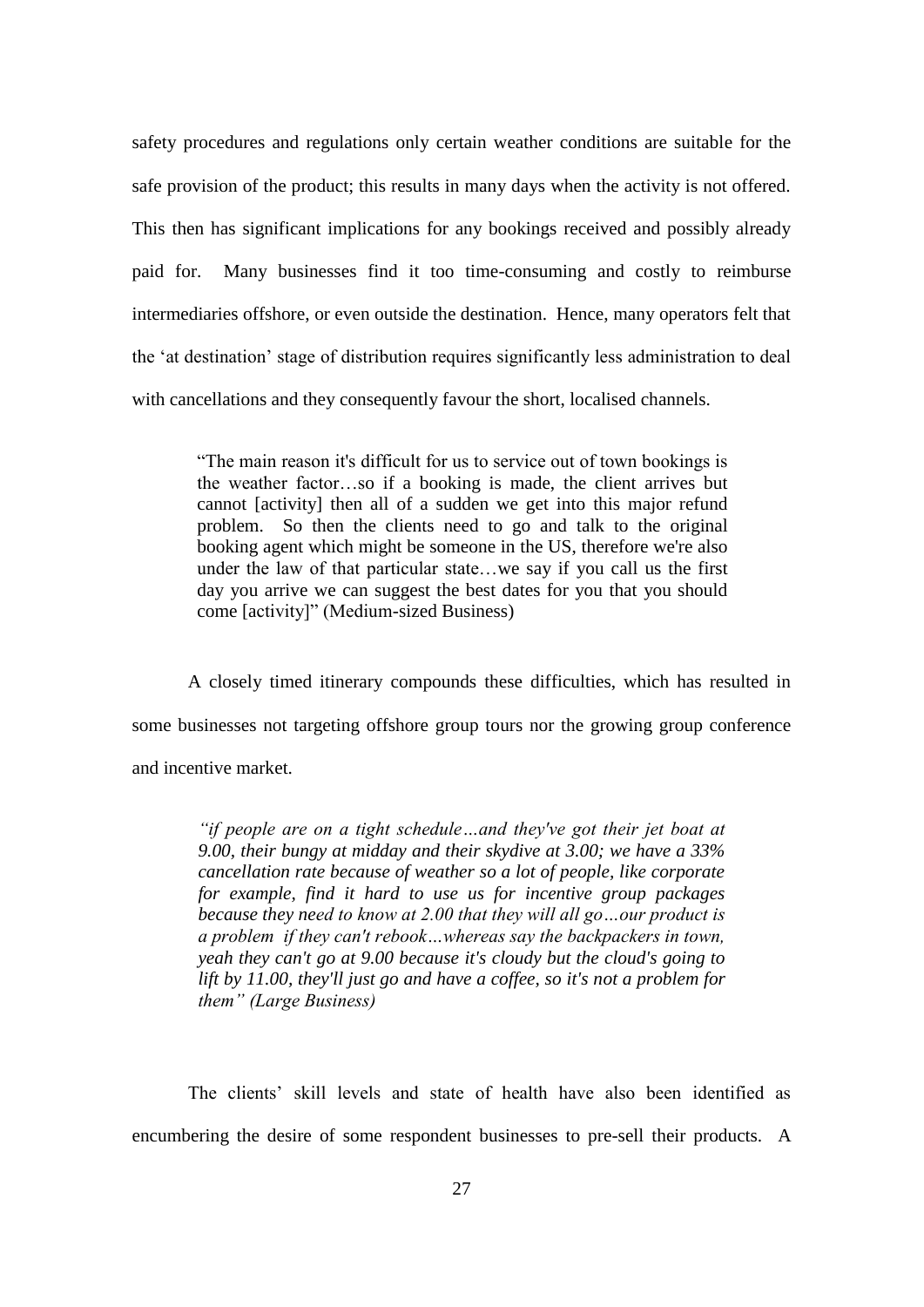safety procedures and regulations only certain weather conditions are suitable for the safe provision of the product; this results in many days when the activity is not offered. This then has significant implications for any bookings received and possibly already paid for. Many businesses find it too time-consuming and costly to reimburse intermediaries offshore, or even outside the destination. Hence, many operators felt that the 'at destination' stage of distribution requires significantly less administration to deal with cancellations and they consequently favour the short, localised channels.

"The main reason it's difficult for us to service out of town bookings is the weather factor…so if a booking is made, the client arrives but cannot [activity] then all of a sudden we get into this major refund problem. So then the clients need to go and talk to the original booking agent which might be someone in the US, therefore we're also under the law of that particular state…we say if you call us the first day you arrive we can suggest the best dates for you that you should come [activity]" (Medium-sized Business)

A closely timed itinerary compounds these difficulties, which has resulted in some businesses not targeting offshore group tours nor the growing group conference and incentive market.

*"if people are on a tight schedule…and they've got their jet boat at 9.00, their bungy at midday and their skydive at 3.00; we have a 33% cancellation rate because of weather so a lot of people, like corporate for example, find it hard to use us for incentive group packages because they need to know at 2.00 that they will all go…our product is a problem if they can't rebook…whereas say the backpackers in town, yeah they can't go at 9.00 because it's cloudy but the cloud's going to lift by 11.00, they'll just go and have a coffee, so it's not a problem for them" (Large Business)*

The clients' skill levels and state of health have also been identified as encumbering the desire of some respondent businesses to pre-sell their products. A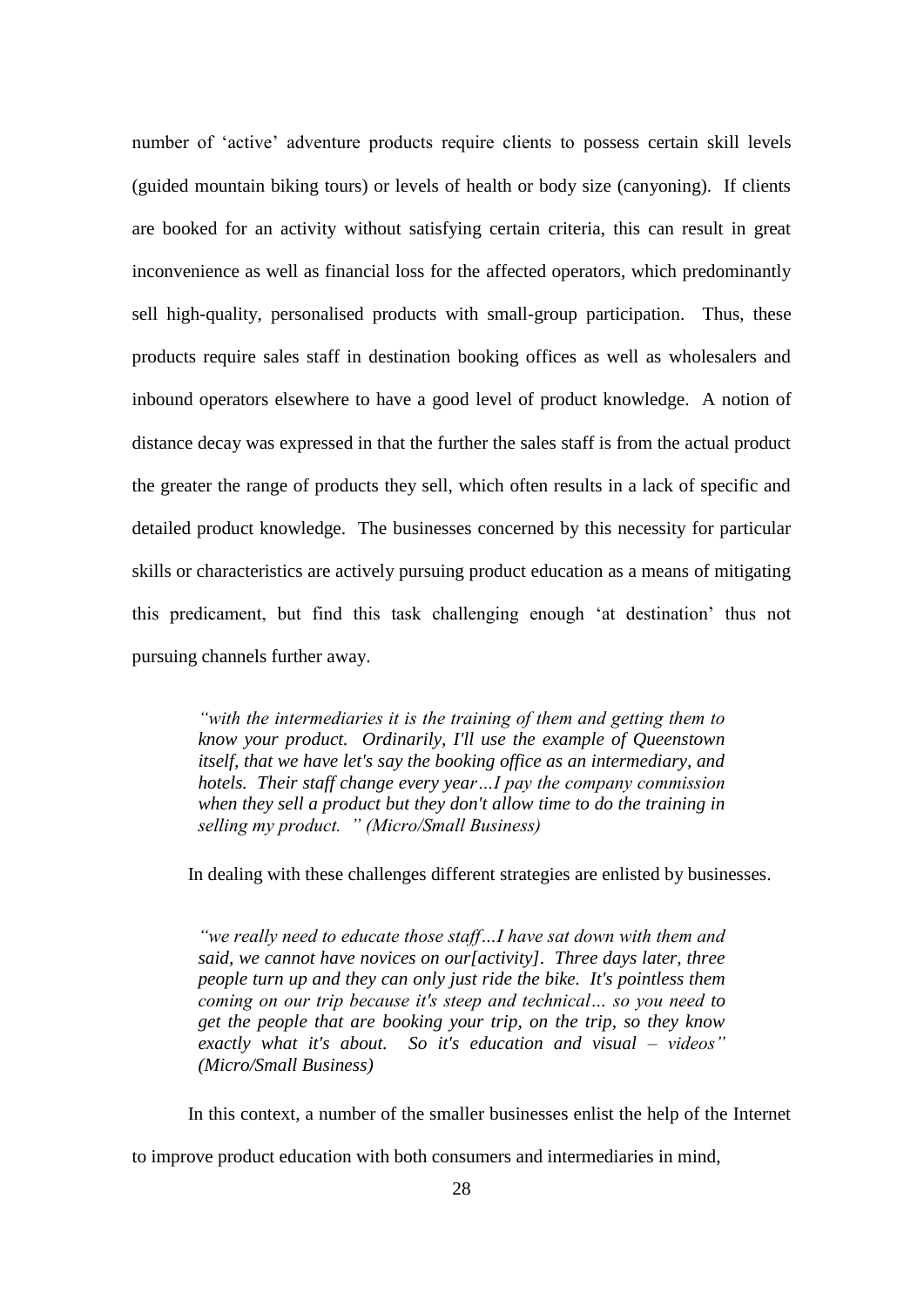number of 'active' adventure products require clients to possess certain skill levels (guided mountain biking tours) or levels of health or body size (canyoning). If clients are booked for an activity without satisfying certain criteria, this can result in great inconvenience as well as financial loss for the affected operators, which predominantly sell high-quality, personalised products with small-group participation. Thus, these products require sales staff in destination booking offices as well as wholesalers and inbound operators elsewhere to have a good level of product knowledge. A notion of distance decay was expressed in that the further the sales staff is from the actual product the greater the range of products they sell, which often results in a lack of specific and detailed product knowledge. The businesses concerned by this necessity for particular skills or characteristics are actively pursuing product education as a means of mitigating this predicament, but find this task challenging enough 'at destination' thus not pursuing channels further away.

*"with the intermediaries it is the training of them and getting them to know your product. Ordinarily, I'll use the example of Queenstown itself, that we have let's say the booking office as an intermediary, and hotels. Their staff change every year…I pay the company commission when they sell a product but they don't allow time to do the training in selling my product. " (Micro/Small Business)*

In dealing with these challenges different strategies are enlisted by businesses.

*"we really need to educate those staff…I have sat down with them and said, we cannot have novices on our[activity]. Three days later, three people turn up and they can only just ride the bike. It's pointless them coming on our trip because it's steep and technical… so you need to get the people that are booking your trip, on the trip, so they know exactly what it's about. So it's education and visual – videos" (Micro/Small Business)*

In this context, a number of the smaller businesses enlist the help of the Internet to improve product education with both consumers and intermediaries in mind,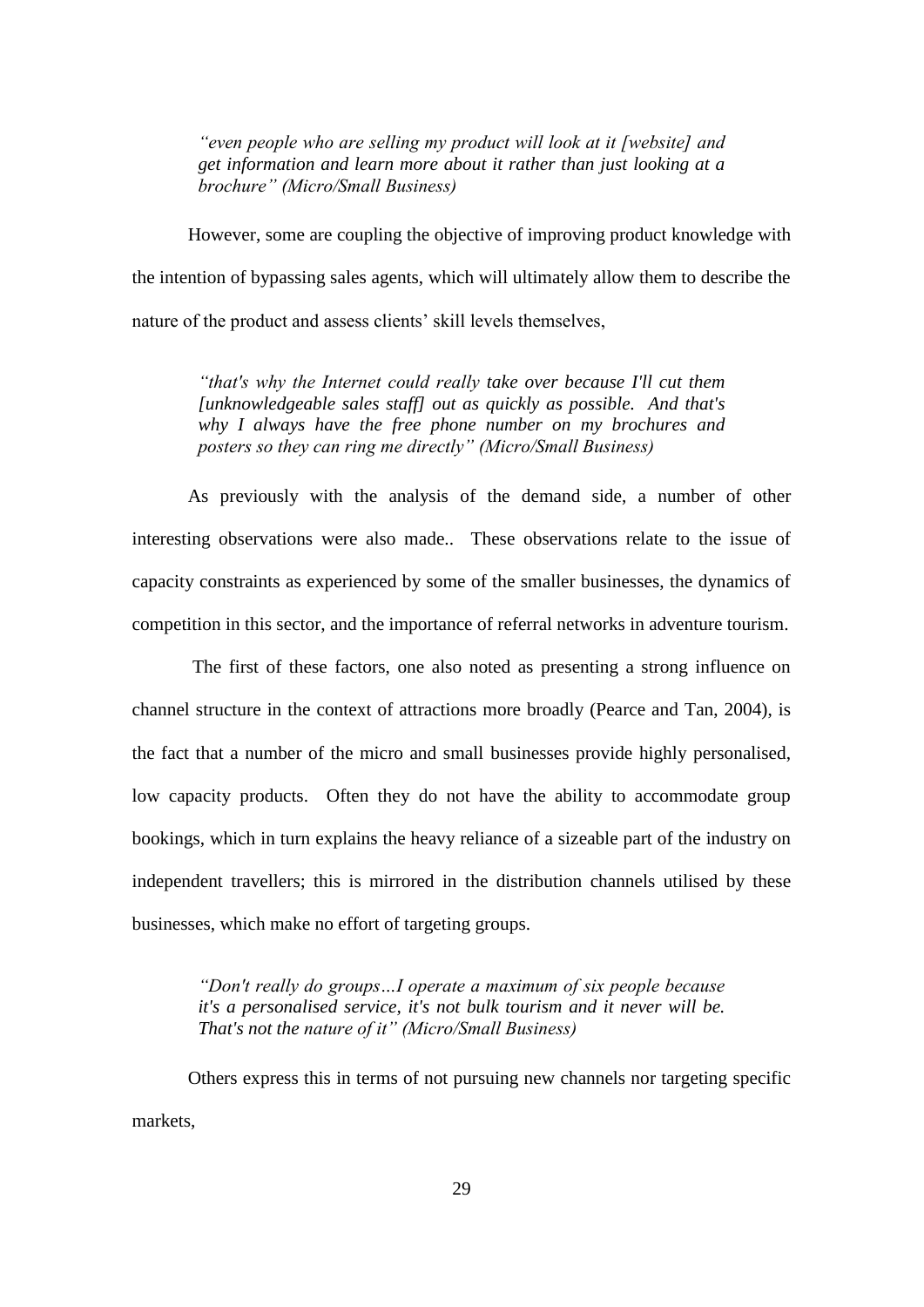*"even people who are selling my product will look at it [website] and get information and learn more about it rather than just looking at a brochure" (Micro/Small Business)*

However, some are coupling the objective of improving product knowledge with the intention of bypassing sales agents, which will ultimately allow them to describe the nature of the product and assess clients' skill levels themselves,

*"that's why the Internet could really take over because I'll cut them [unknowledgeable sales staff] out as quickly as possible. And that's why I always have the free phone number on my brochures and posters so they can ring me directly" (Micro/Small Business)*

As previously with the analysis of the demand side, a number of other interesting observations were also made.. These observations relate to the issue of capacity constraints as experienced by some of the smaller businesses, the dynamics of competition in this sector, and the importance of referral networks in adventure tourism.

The first of these factors, one also noted as presenting a strong influence on channel structure in the context of attractions more broadly (Pearce and Tan, 2004), is the fact that a number of the micro and small businesses provide highly personalised, low capacity products. Often they do not have the ability to accommodate group bookings, which in turn explains the heavy reliance of a sizeable part of the industry on independent travellers; this is mirrored in the distribution channels utilised by these businesses, which make no effort of targeting groups.

*"Don't really do groups…I operate a maximum of six people because it's a personalised service, it's not bulk tourism and it never will be. That's not the nature of it" (Micro/Small Business)*

Others express this in terms of not pursuing new channels nor targeting specific markets,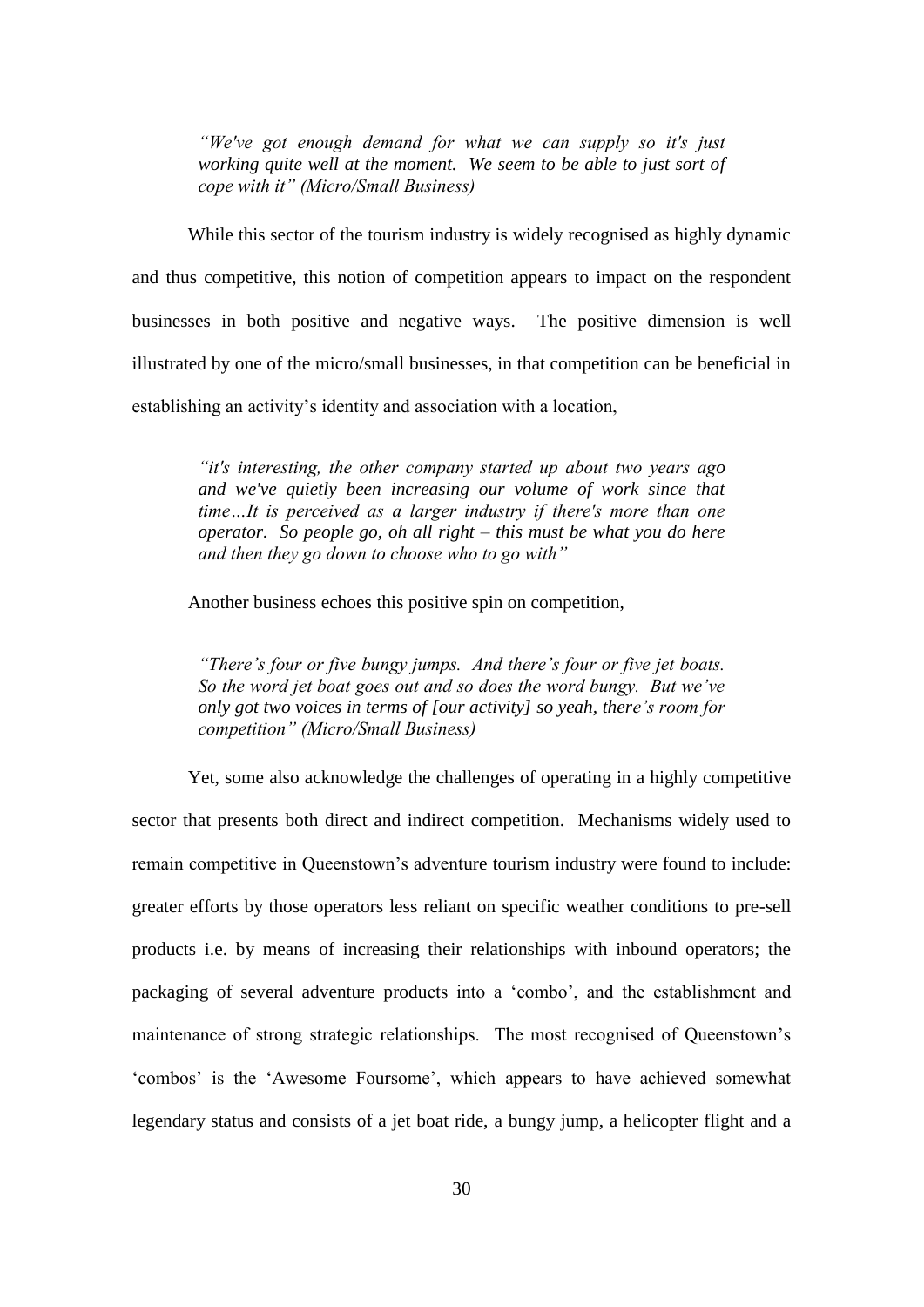*"We've got enough demand for what we can supply so it's just working quite well at the moment. We seem to be able to just sort of cope with it" (Micro/Small Business)* 

While this sector of the tourism industry is widely recognised as highly dynamic and thus competitive, this notion of competition appears to impact on the respondent businesses in both positive and negative ways. The positive dimension is well illustrated by one of the micro/small businesses, in that competition can be beneficial in establishing an activity's identity and association with a location,

*"it's interesting, the other company started up about two years ago and we've quietly been increasing our volume of work since that time…It is perceived as a larger industry if there's more than one operator. So people go, oh all right – this must be what you do here and then they go down to choose who to go with"*

Another business echoes this positive spin on competition,

*"There's four or five bungy jumps. And there's four or five jet boats. So the word jet boat goes out and so does the word bungy. But we've only got two voices in terms of [our activity] so yeah, there's room for competition" (Micro/Small Business)* 

Yet, some also acknowledge the challenges of operating in a highly competitive sector that presents both direct and indirect competition. Mechanisms widely used to remain competitive in Queenstown's adventure tourism industry were found to include: greater efforts by those operators less reliant on specific weather conditions to pre-sell products i.e. by means of increasing their relationships with inbound operators; the packaging of several adventure products into a 'combo', and the establishment and maintenance of strong strategic relationships. The most recognised of Queenstown's 'combos' is the 'Awesome Foursome', which appears to have achieved somewhat legendary status and consists of a jet boat ride, a bungy jump, a helicopter flight and a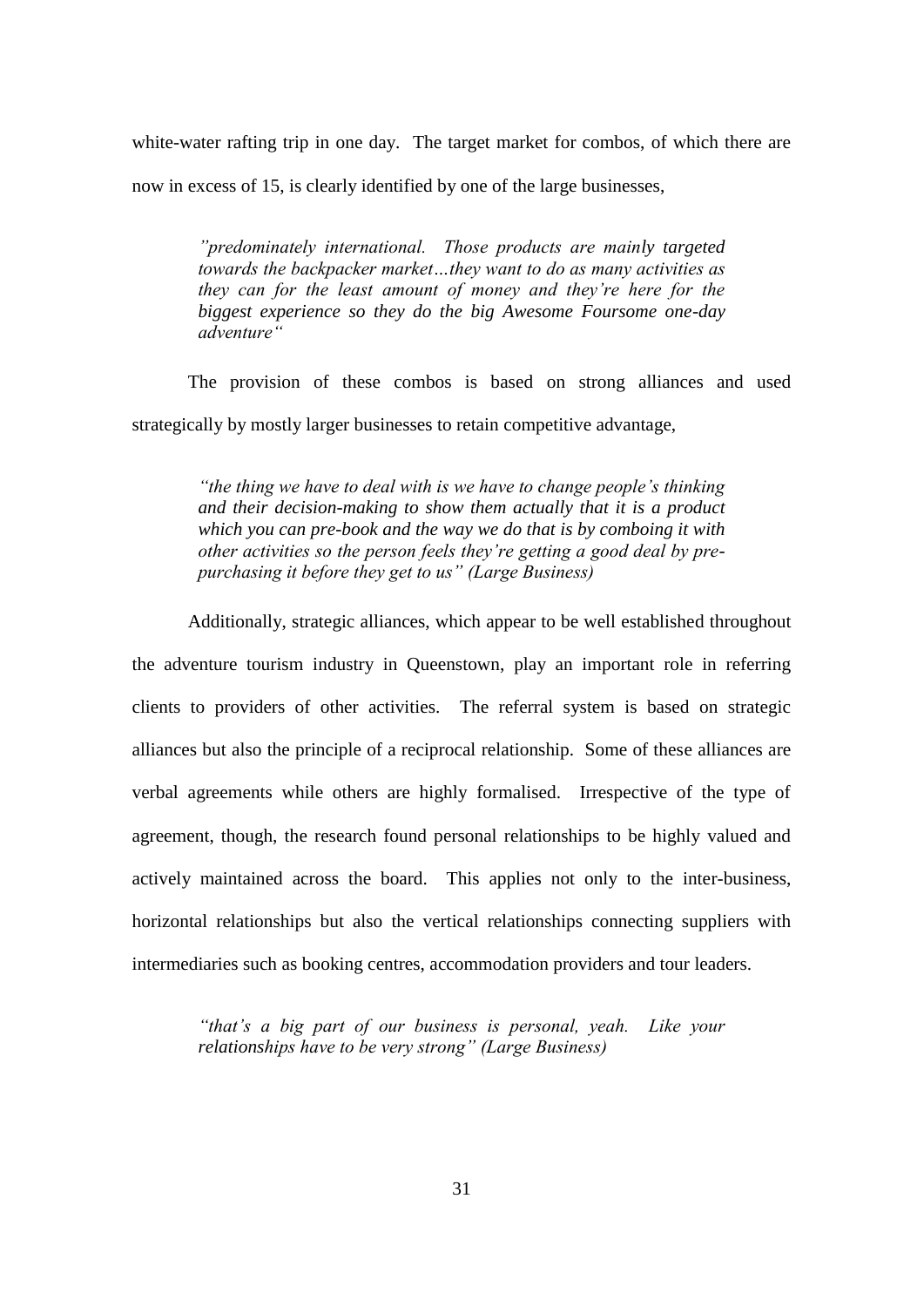white-water rafting trip in one day. The target market for combos, of which there are now in excess of 15, is clearly identified by one of the large businesses,

*"predominately international. Those products are mainly targeted towards the backpacker market…they want to do as many activities as they can for the least amount of money and they're here for the biggest experience so they do the big Awesome Foursome one-day adventure"* 

The provision of these combos is based on strong alliances and used strategically by mostly larger businesses to retain competitive advantage,

*"the thing we have to deal with is we have to change people's thinking and their decision-making to show them actually that it is a product which you can pre-book and the way we do that is by comboing it with other activities so the person feels they're getting a good deal by prepurchasing it before they get to us" (Large Business)*

Additionally, strategic alliances, which appear to be well established throughout the adventure tourism industry in Queenstown, play an important role in referring clients to providers of other activities. The referral system is based on strategic alliances but also the principle of a reciprocal relationship. Some of these alliances are verbal agreements while others are highly formalised. Irrespective of the type of agreement, though, the research found personal relationships to be highly valued and actively maintained across the board. This applies not only to the inter-business, horizontal relationships but also the vertical relationships connecting suppliers with intermediaries such as booking centres, accommodation providers and tour leaders.

*"that's a big part of our business is personal, yeah. Like your relationships have to be very strong" (Large Business)*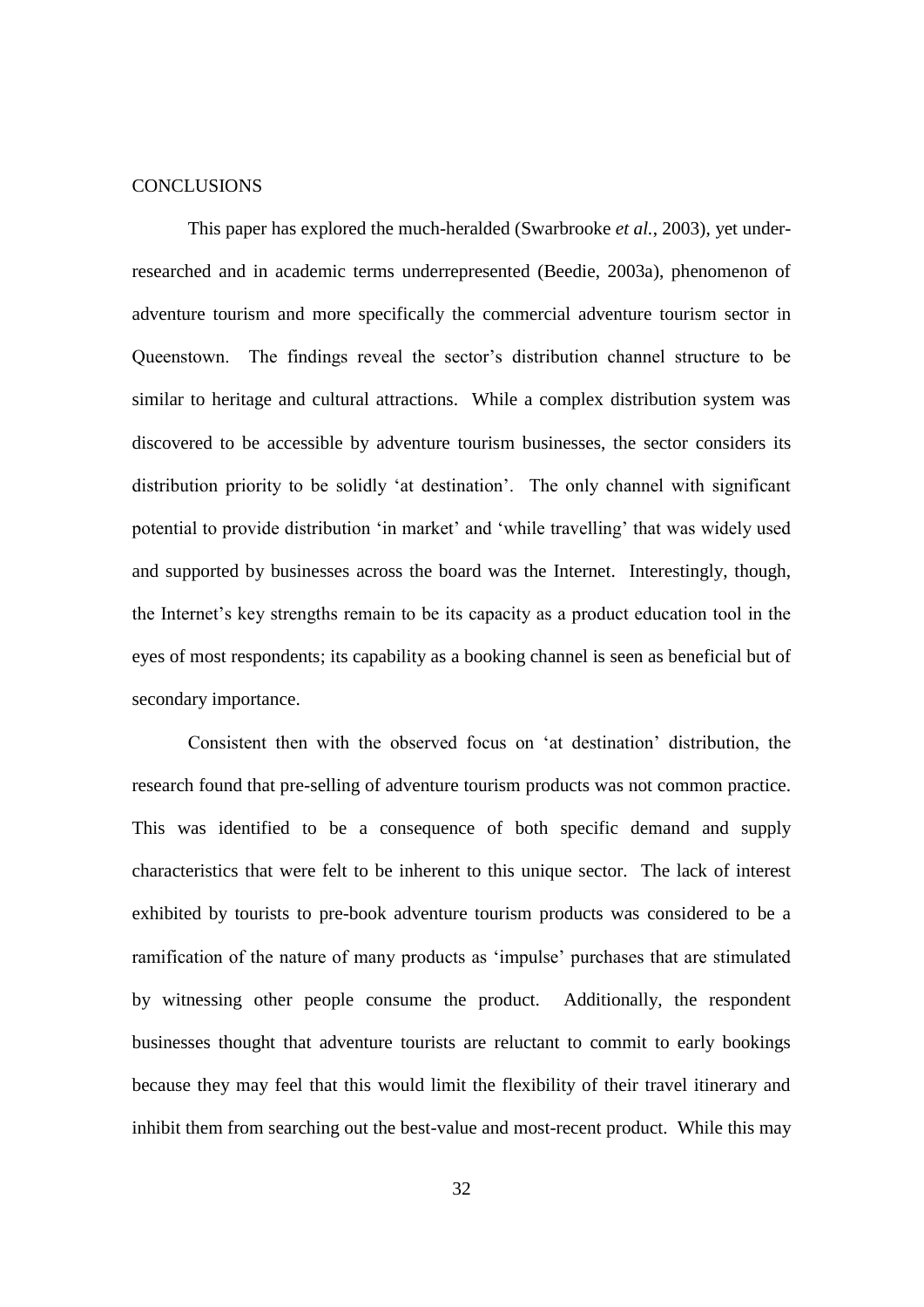### **CONCLUSIONS**

This paper has explored the much-heralded (Swarbrooke *et al.*, 2003), yet underresearched and in academic terms underrepresented (Beedie, 2003a), phenomenon of adventure tourism and more specifically the commercial adventure tourism sector in Queenstown. The findings reveal the sector's distribution channel structure to be similar to heritage and cultural attractions. While a complex distribution system was discovered to be accessible by adventure tourism businesses, the sector considers its distribution priority to be solidly 'at destination'. The only channel with significant potential to provide distribution 'in market' and 'while travelling' that was widely used and supported by businesses across the board was the Internet. Interestingly, though, the Internet's key strengths remain to be its capacity as a product education tool in the eyes of most respondents; its capability as a booking channel is seen as beneficial but of secondary importance.

Consistent then with the observed focus on 'at destination' distribution, the research found that pre-selling of adventure tourism products was not common practice. This was identified to be a consequence of both specific demand and supply characteristics that were felt to be inherent to this unique sector. The lack of interest exhibited by tourists to pre-book adventure tourism products was considered to be a ramification of the nature of many products as 'impulse' purchases that are stimulated by witnessing other people consume the product. Additionally, the respondent businesses thought that adventure tourists are reluctant to commit to early bookings because they may feel that this would limit the flexibility of their travel itinerary and inhibit them from searching out the best-value and most-recent product. While this may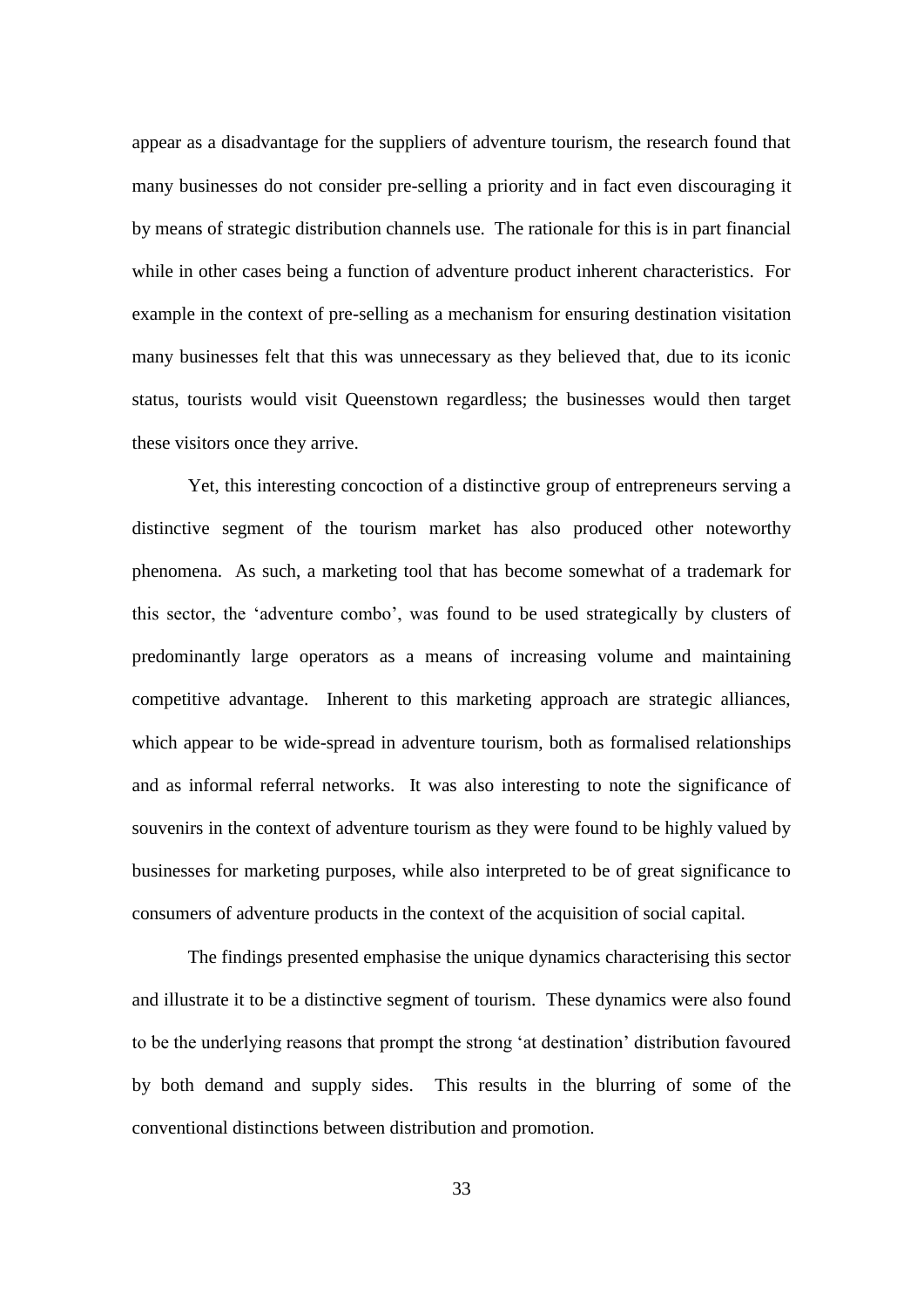appear as a disadvantage for the suppliers of adventure tourism, the research found that many businesses do not consider pre-selling a priority and in fact even discouraging it by means of strategic distribution channels use. The rationale for this is in part financial while in other cases being a function of adventure product inherent characteristics. For example in the context of pre-selling as a mechanism for ensuring destination visitation many businesses felt that this was unnecessary as they believed that, due to its iconic status, tourists would visit Queenstown regardless; the businesses would then target these visitors once they arrive.

Yet, this interesting concoction of a distinctive group of entrepreneurs serving a distinctive segment of the tourism market has also produced other noteworthy phenomena. As such, a marketing tool that has become somewhat of a trademark for this sector, the 'adventure combo', was found to be used strategically by clusters of predominantly large operators as a means of increasing volume and maintaining competitive advantage. Inherent to this marketing approach are strategic alliances, which appear to be wide-spread in adventure tourism, both as formalised relationships and as informal referral networks. It was also interesting to note the significance of souvenirs in the context of adventure tourism as they were found to be highly valued by businesses for marketing purposes, while also interpreted to be of great significance to consumers of adventure products in the context of the acquisition of social capital.

The findings presented emphasise the unique dynamics characterising this sector and illustrate it to be a distinctive segment of tourism. These dynamics were also found to be the underlying reasons that prompt the strong 'at destination' distribution favoured by both demand and supply sides. This results in the blurring of some of the conventional distinctions between distribution and promotion.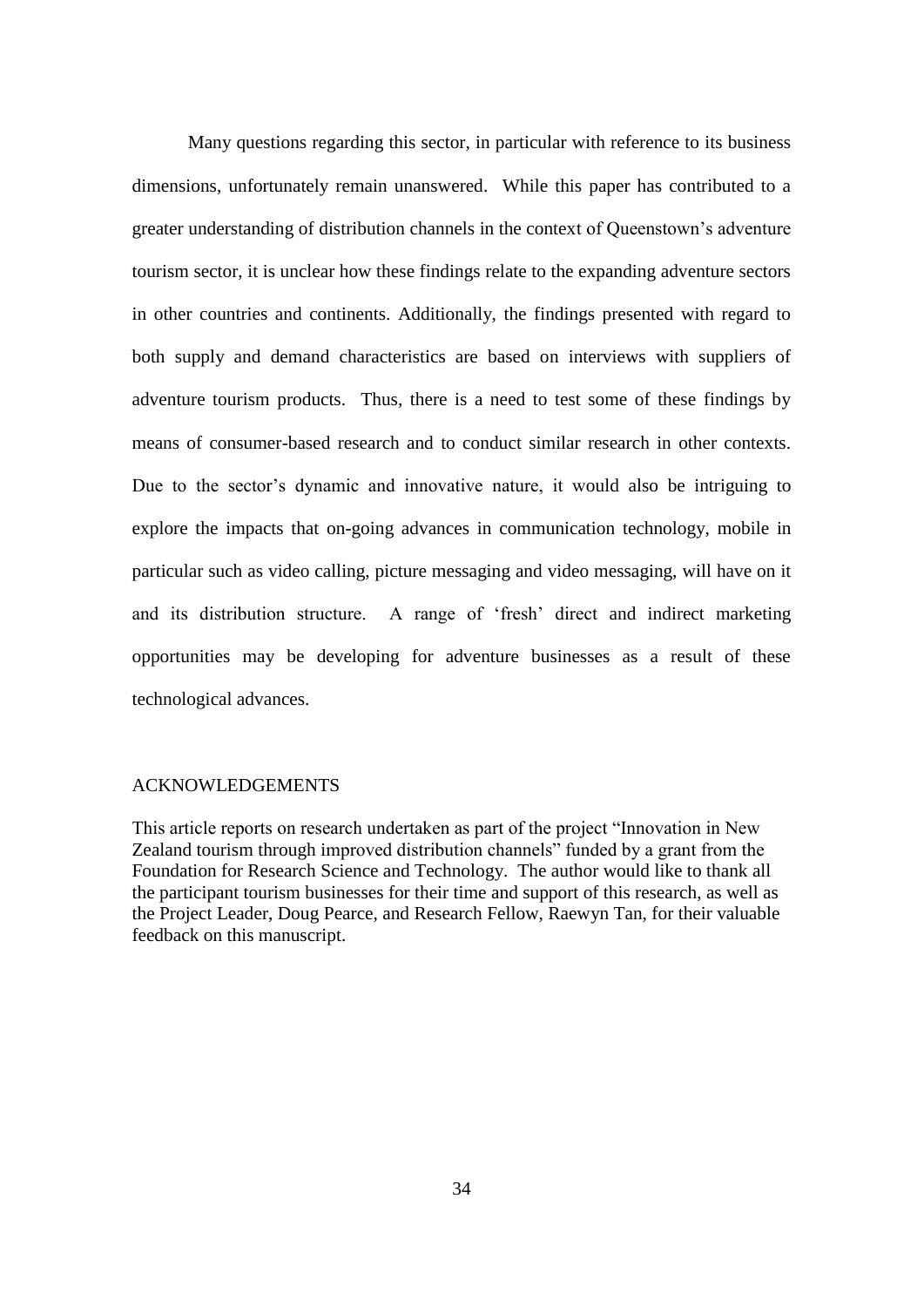Many questions regarding this sector, in particular with reference to its business dimensions, unfortunately remain unanswered. While this paper has contributed to a greater understanding of distribution channels in the context of Queenstown's adventure tourism sector, it is unclear how these findings relate to the expanding adventure sectors in other countries and continents. Additionally, the findings presented with regard to both supply and demand characteristics are based on interviews with suppliers of adventure tourism products. Thus, there is a need to test some of these findings by means of consumer-based research and to conduct similar research in other contexts. Due to the sector's dynamic and innovative nature, it would also be intriguing to explore the impacts that on-going advances in communication technology, mobile in particular such as video calling, picture messaging and video messaging, will have on it and its distribution structure. A range of 'fresh' direct and indirect marketing opportunities may be developing for adventure businesses as a result of these technological advances.

#### ACKNOWLEDGEMENTS

This article reports on research undertaken as part of the project "Innovation in New Zealand tourism through improved distribution channels" funded by a grant from the Foundation for Research Science and Technology. The author would like to thank all the participant tourism businesses for their time and support of this research, as well as the Project Leader, Doug Pearce, and Research Fellow, Raewyn Tan, for their valuable feedback on this manuscript.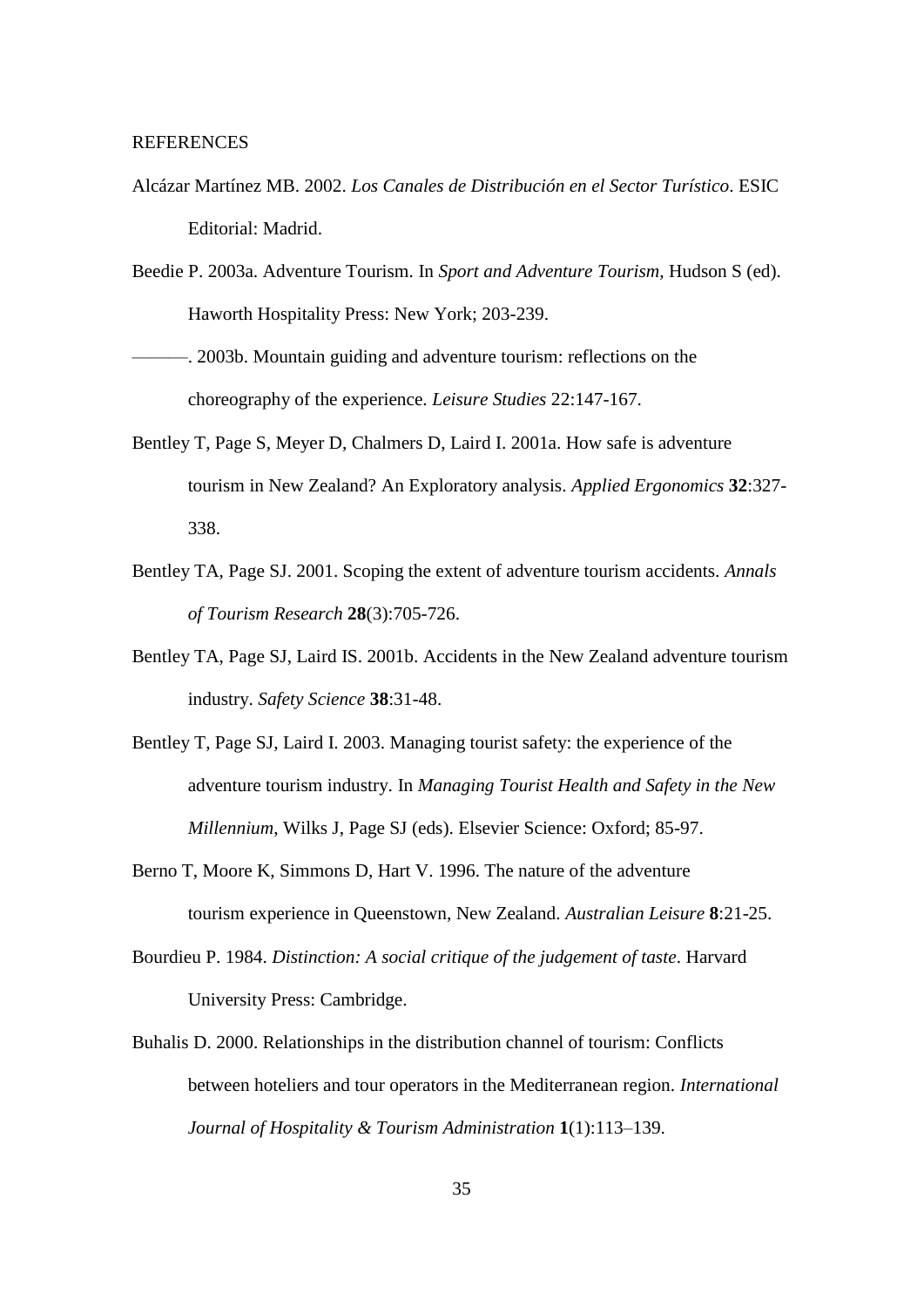**REFERENCES** 

- Alcázar Martínez MB. 2002. *Los Canales de Distribución en el Sector Turístico*. ESIC Editorial: Madrid.
- Beedie P. 2003a. Adventure Tourism. In *Sport and Adventure Tourism,* Hudson S (ed). Haworth Hospitality Press: New York; 203-239.
- ———. 2003b. Mountain guiding and adventure tourism: reflections on the choreography of the experience. *Leisure Studies* 22:147-167.
- Bentley T, Page S, Meyer D, Chalmers D, Laird I. 2001a. How safe is adventure tourism in New Zealand? An Exploratory analysis. *Applied Ergonomics* **32**:327- 338.
- Bentley TA, Page SJ. 2001. Scoping the extent of adventure tourism accidents. *Annals of Tourism Research* **28**(3):705-726.
- Bentley TA, Page SJ, Laird IS. 2001b. Accidents in the New Zealand adventure tourism industry. *Safety Science* **38**:31-48.
- Bentley T, Page SJ, Laird I. 2003. Managing tourist safety: the experience of the adventure tourism industry. In *Managing Tourist Health and Safety in the New Millennium*, Wilks J, Page SJ (eds). Elsevier Science: Oxford; 85-97.
- Berno T, Moore K, Simmons D, Hart V. 1996. The nature of the adventure tourism experience in Queenstown, New Zealand. *Australian Leisure* **8**:21-25.
- Bourdieu P. 1984. *Distinction: A social critique of the judgement of taste*. Harvard University Press: Cambridge.
- Buhalis D. 2000. Relationships in the distribution channel of tourism: Conflicts between hoteliers and tour operators in the Mediterranean region. *International Journal of Hospitality & Tourism Administration* **1**(1):113–139.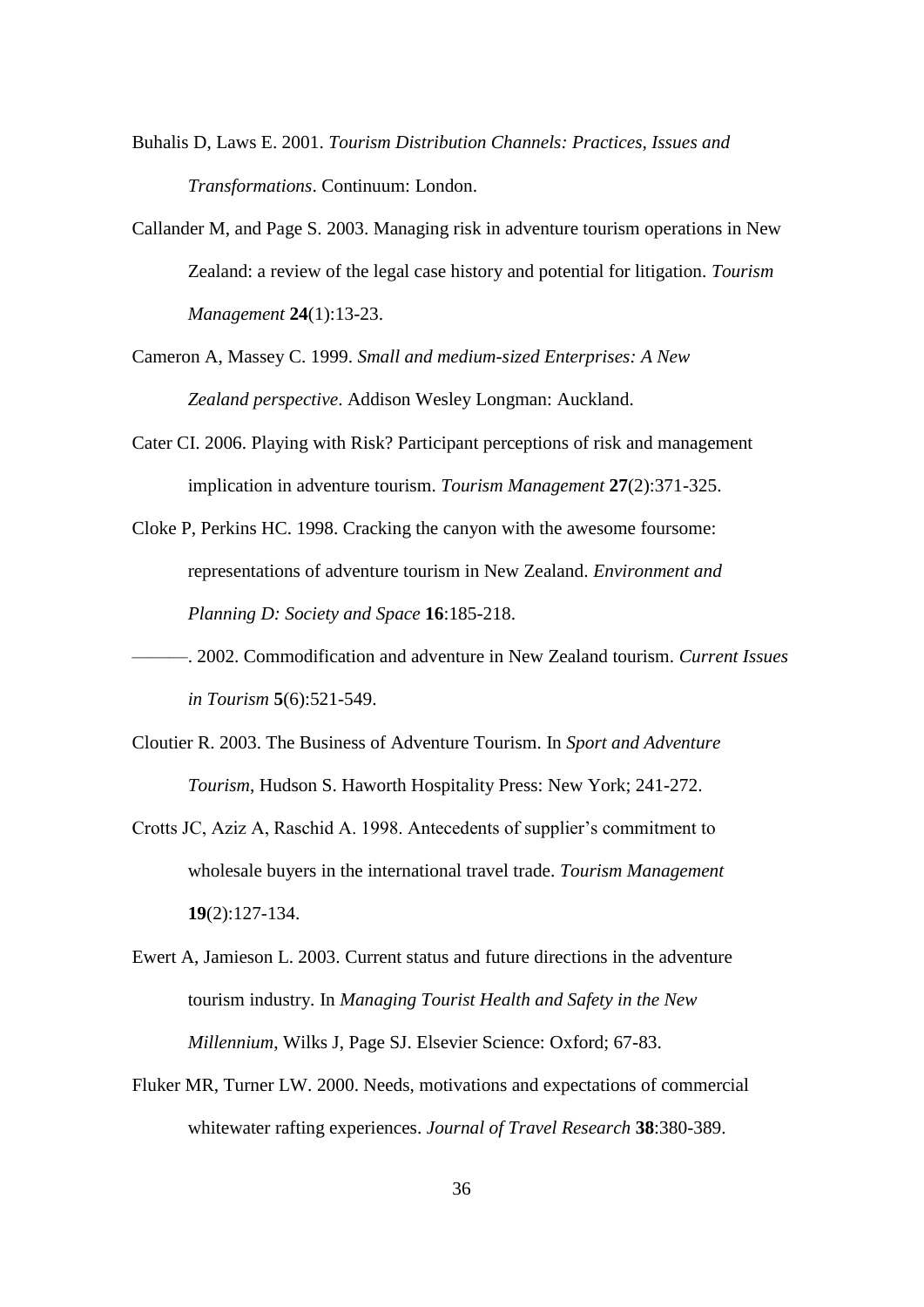- Buhalis D, Laws E. 2001. *Tourism Distribution Channels: Practices, Issues and Transformations*. Continuum: London.
- Callander M, and Page S. 2003. Managing risk in adventure tourism operations in New Zealand: a review of the legal case history and potential for litigation. *Tourism Management* **24**(1):13-23.
- Cameron A, Massey C. 1999. *Small and medium-sized Enterprises: A New Zealand perspective*. Addison Wesley Longman: Auckland.
- Cater CI. 2006. Playing with Risk? Participant perceptions of risk and management implication in adventure tourism. *Tourism Management* **27**(2):371-325.
- Cloke P, Perkins HC. 1998. Cracking the canyon with the awesome foursome: representations of adventure tourism in New Zealand. *Environment and Planning D: Society and Space* **16**:185-218.
- ———. 2002. Commodification and adventure in New Zealand tourism. *Current Issues in Tourism* **5**(6):521-549.
- Cloutier R. 2003. The Business of Adventure Tourism. In *Sport and Adventure Tourism*, Hudson S. Haworth Hospitality Press: New York; 241-272.
- Crotts JC, Aziz A, Raschid A. 1998. Antecedents of supplier's commitment to wholesale buyers in the international travel trade. *Tourism Management* **19**(2):127-134.
- Ewert A, Jamieson L. 2003. Current status and future directions in the adventure tourism industry. In *Managing Tourist Health and Safety in the New Millennium*, Wilks J, Page SJ. Elsevier Science: Oxford; 67-83.
- Fluker MR, Turner LW. 2000. Needs, motivations and expectations of commercial whitewater rafting experiences. *Journal of Travel Research* **38**:380-389.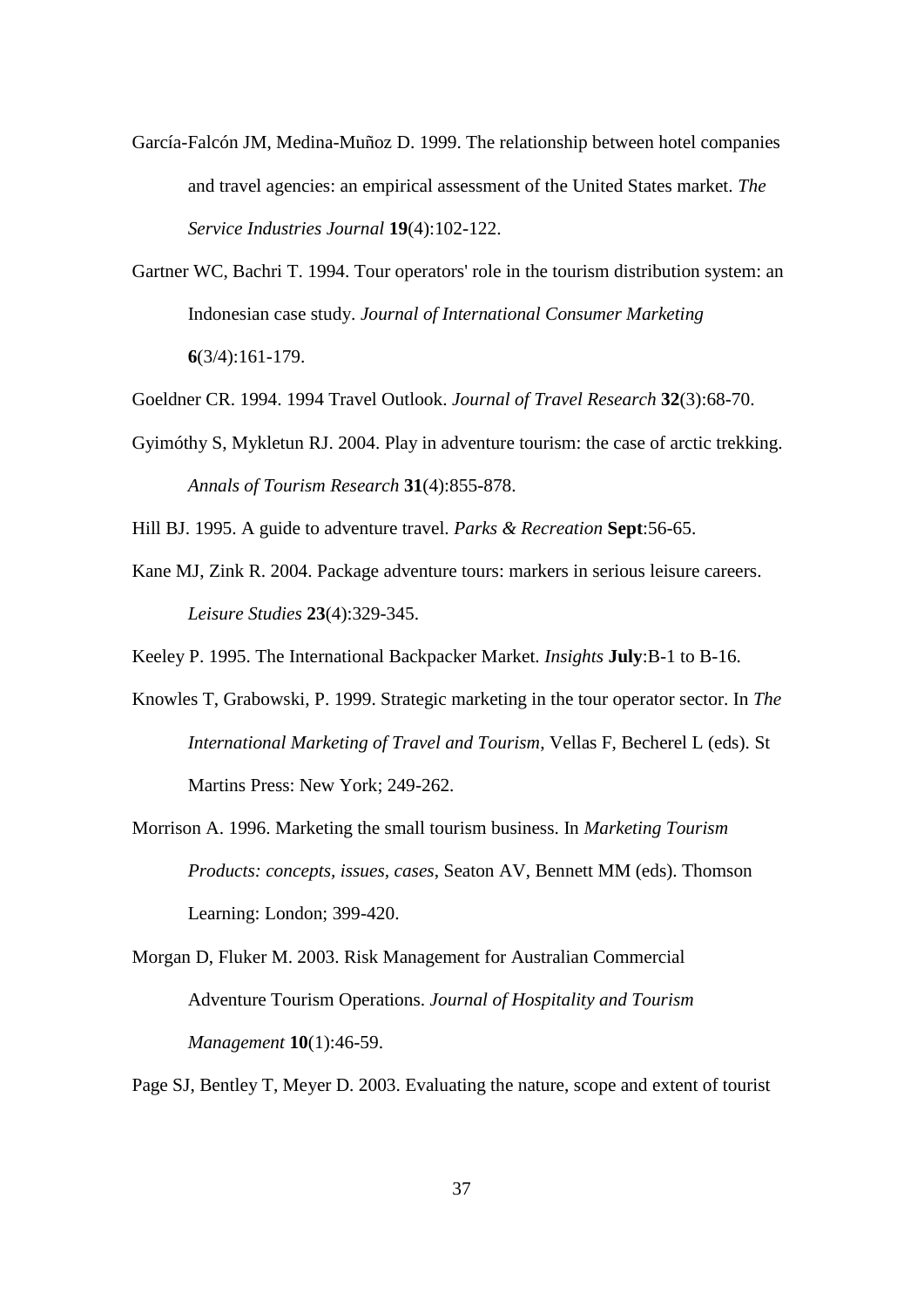- García-Falcón JM, Medina-Muñoz D. 1999. The relationship between hotel companies and travel agencies: an empirical assessment of the United States market. *The Service Industries Journal* **19**(4):102-122.
- Gartner WC, Bachri T. 1994. Tour operators' role in the tourism distribution system: an Indonesian case study. *Journal of International Consumer Marketing* **6**(3/4):161-179.
- Goeldner CR. 1994. 1994 Travel Outlook. *Journal of Travel Research* **32**(3):68-70.
- Gyimóthy S, Mykletun RJ. 2004. Play in adventure tourism: the case of arctic trekking. *Annals of Tourism Research* **31**(4):855-878.
- Hill BJ. 1995. A guide to adventure travel. *Parks & Recreation* **Sept**:56-65.
- Kane MJ, Zink R. 2004. Package adventure tours: markers in serious leisure careers. *Leisure Studies* **23**(4):329-345.
- Keeley P. 1995. The International Backpacker Market. *Insights* **July**:B-1 to B-16.
- Knowles T, Grabowski, P. 1999. Strategic marketing in the tour operator sector. In *The International Marketing of Travel and Tourism*, Vellas F, Becherel L (eds). St Martins Press: New York; 249-262.
- Morrison A. 1996. Marketing the small tourism business. In *Marketing Tourism Products: concepts, issues, cases*, Seaton AV, Bennett MM (eds). Thomson Learning: London; 399-420.
- Morgan D, Fluker M. 2003. Risk Management for Australian Commercial Adventure Tourism Operations. *Journal of Hospitality and Tourism Management* **10**(1):46-59.
- Page SJ, Bentley T, Meyer D. 2003. Evaluating the nature, scope and extent of tourist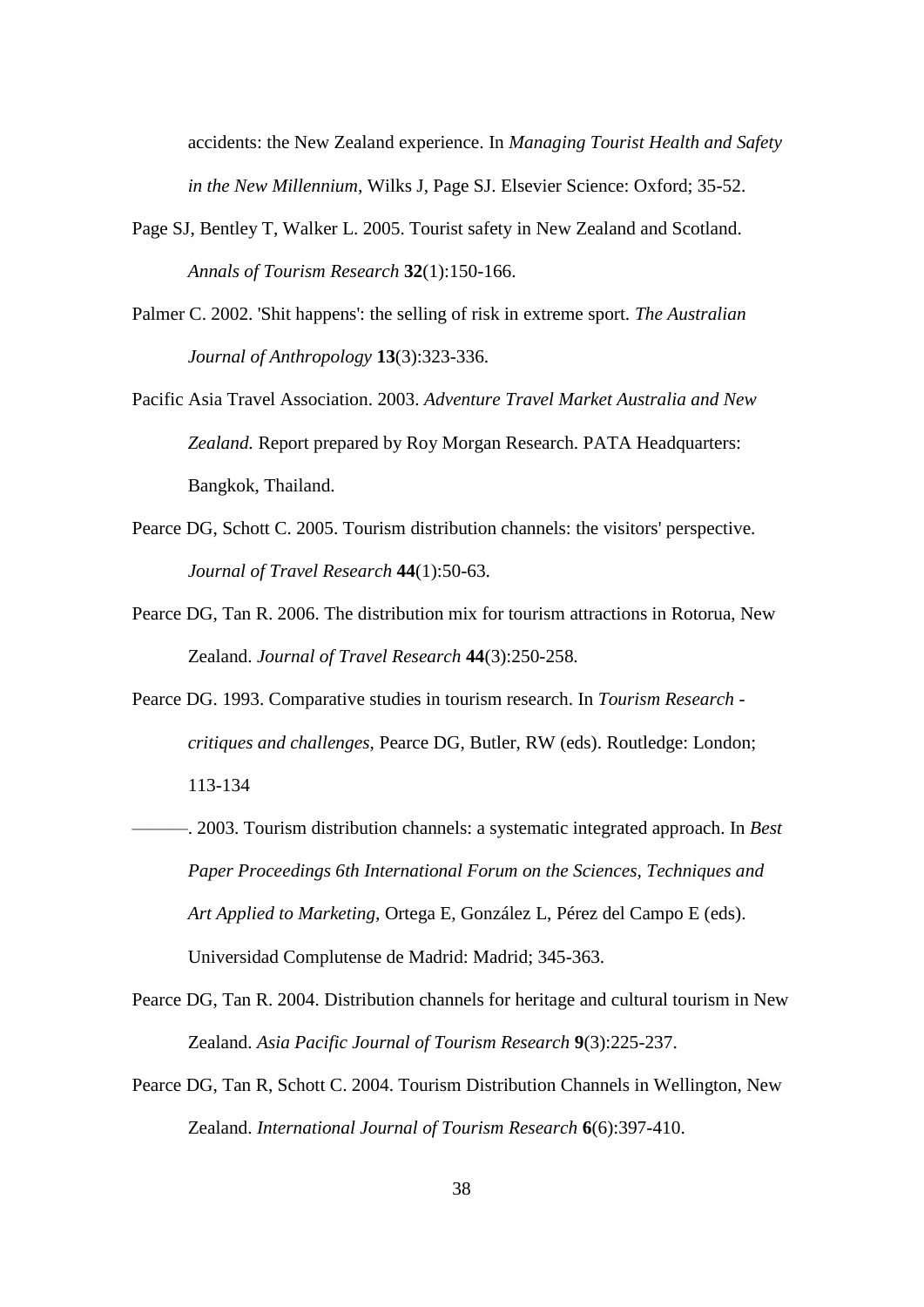accidents: the New Zealand experience. In *Managing Tourist Health and Safety in the New Millennium,* Wilks J, Page SJ. Elsevier Science: Oxford; 35-52.

- Page SJ, Bentley T, Walker L. 2005. Tourist safety in New Zealand and Scotland. *Annals of Tourism Research* **32**(1):150-166.
- Palmer C. 2002. 'Shit happens': the selling of risk in extreme sport. *The Australian Journal of Anthropology* **13**(3):323-336.
- Pacific Asia Travel Association. 2003. *Adventure Travel Market Australia and New Zealand.* Report prepared by Roy Morgan Research. PATA Headquarters: Bangkok, Thailand.
- Pearce DG, Schott C. 2005. Tourism distribution channels: the visitors' perspective. *Journal of Travel Research* **44**(1):50-63.
- Pearce DG, Tan R. 2006. The distribution mix for tourism attractions in Rotorua, New Zealand. *Journal of Travel Research* **44**(3):250-258*.*
- Pearce DG. 1993. Comparative studies in tourism research. In *Tourism Research critiques and challenges*, Pearce DG, Butler, RW (eds). Routledge: London; 113-134
- ———. 2003. Tourism distribution channels: a systematic integrated approach. In *Best Paper Proceedings 6th International Forum on the Sciences, Techniques and Art Applied to Marketing,* Ortega E, González L, Pérez del Campo E (eds). Universidad Complutense de Madrid: Madrid; 345-363.
- Pearce DG, Tan R. 2004. Distribution channels for heritage and cultural tourism in New Zealand. *Asia Pacific Journal of Tourism Research* **9**(3):225-237.
- Pearce DG, Tan R, Schott C. 2004. Tourism Distribution Channels in Wellington, New Zealand. *International Journal of Tourism Research* **6**(6):397-410.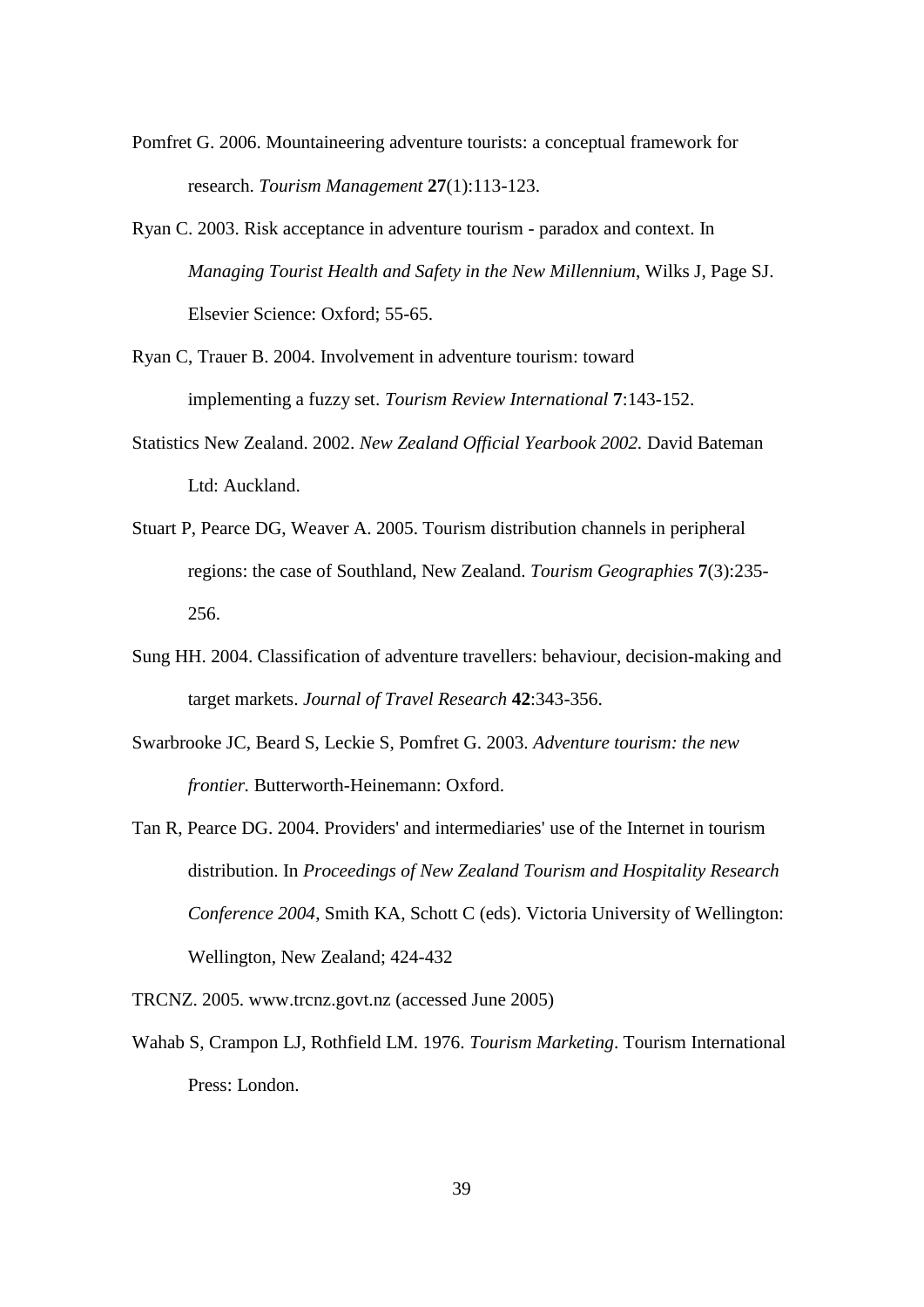- Pomfret G. 2006. Mountaineering adventure tourists: a conceptual framework for research. *Tourism Management* **27**(1):113-123.
- Ryan C. 2003. Risk acceptance in adventure tourism paradox and context. In *Managing Tourist Health and Safety in the New Millennium*, Wilks J, Page SJ. Elsevier Science: Oxford; 55-65.
- Ryan C, Trauer B. 2004. Involvement in adventure tourism: toward implementing a fuzzy set. *Tourism Review International* **7**:143-152.
- Statistics New Zealand. 2002. *New Zealand Official Yearbook 2002.* David Bateman Ltd: Auckland.
- Stuart P, Pearce DG, Weaver A. 2005. Tourism distribution channels in peripheral regions: the case of Southland, New Zealand. *Tourism Geographies* **7**(3):235- 256.
- Sung HH. 2004. Classification of adventure travellers: behaviour, decision-making and target markets. *Journal of Travel Research* **42**:343-356.
- Swarbrooke JC, Beard S, Leckie S, Pomfret G. 2003. *Adventure tourism: the new frontier.* Butterworth-Heinemann: Oxford.
- Tan R, Pearce DG. 2004. Providers' and intermediaries' use of the Internet in tourism distribution. In *Proceedings of New Zealand Tourism and Hospitality Research Conference 2004*, Smith KA, Schott C (eds). Victoria University of Wellington: Wellington, New Zealand; 424-432

TRCNZ. 2005. www.trcnz.govt.nz (accessed June 2005)

Wahab S, Crampon LJ, Rothfield LM. 1976. *Tourism Marketing*. Tourism International Press: London.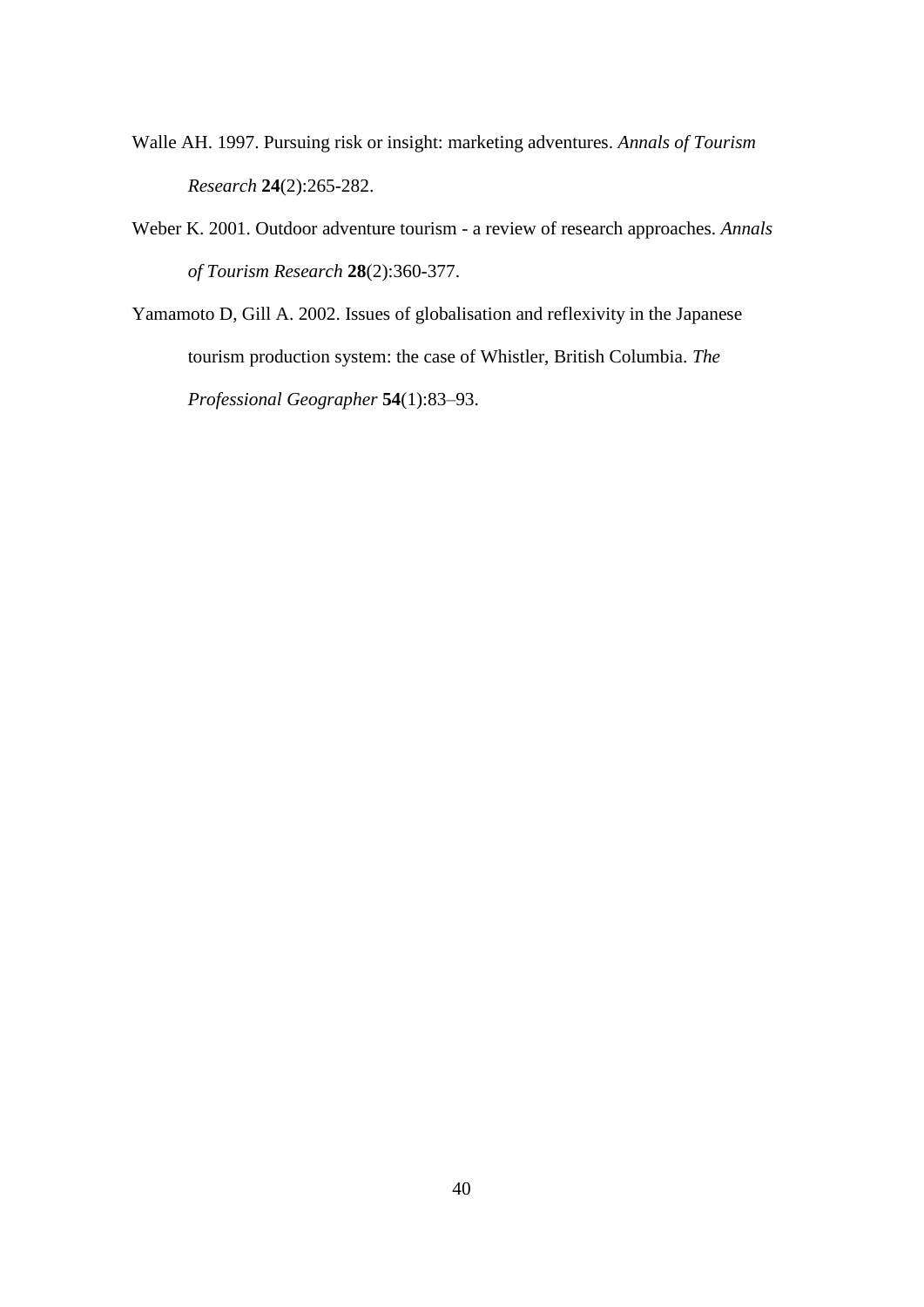- Walle AH. 1997. Pursuing risk or insight: marketing adventures. *Annals of Tourism Research* **24**(2):265-282.
- Weber K. 2001. Outdoor adventure tourism a review of research approaches. *Annals of Tourism Research* **28**(2):360-377.
- Yamamoto D, Gill A. 2002. Issues of globalisation and reflexivity in the Japanese tourism production system: the case of Whistler, British Columbia. *The Professional Geographer* **54**(1):83–93.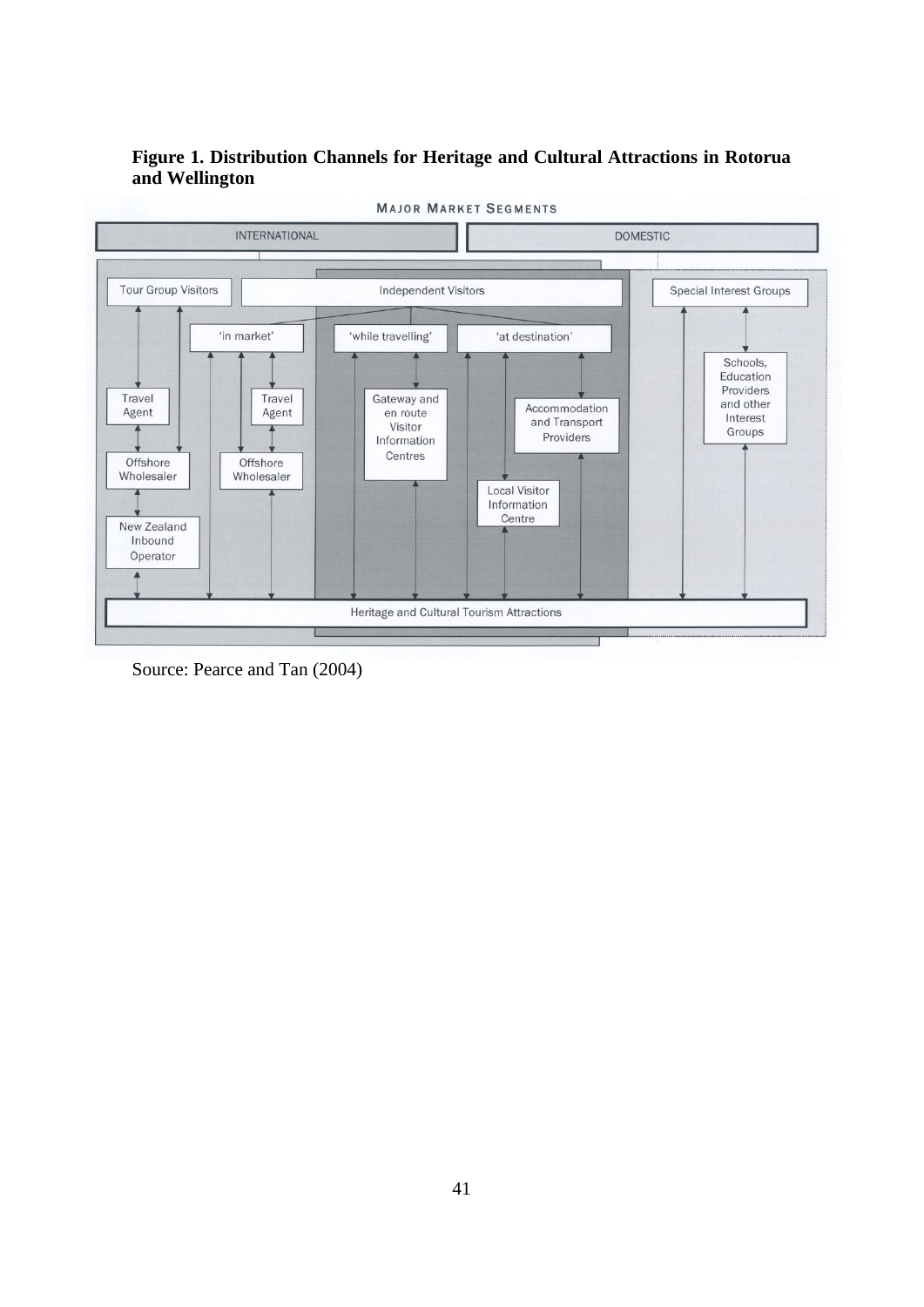# **Figure 1. Distribution Channels for Heritage and Cultural Attractions in Rotorua and Wellington**



Source: Pearce and Tan (2004)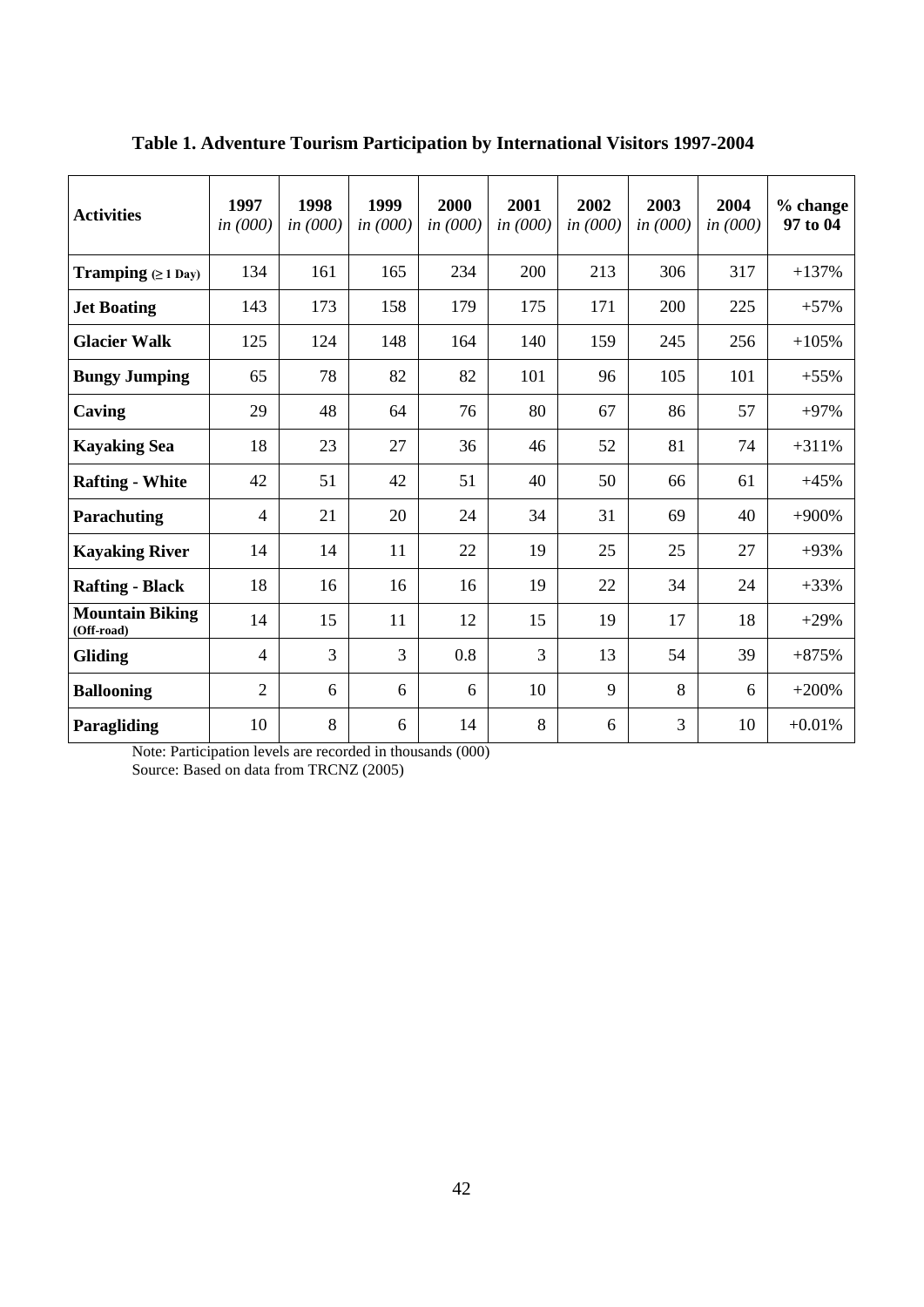| <b>Activities</b>                    | 1997<br>in (000) | 1998<br>in $(000)$ | 1999<br>in $(000)$ | 2000<br>in (000) | 2001<br>in $(000)$ | 2002<br>in (000) | 2003<br>in $(000)$ | 2004<br>in (000) | % change<br>97 to 04 |
|--------------------------------------|------------------|--------------------|--------------------|------------------|--------------------|------------------|--------------------|------------------|----------------------|
| Tramping $( \geq 1$ Day)             | 134              | 161                | 165                | 234              | 200                | 213              | 306                | 317              | $+137%$              |
| <b>Jet Boating</b>                   | 143              | 173                | 158                | 179              | 175                | 171              | 200                | 225              | $+57%$               |
| <b>Glacier Walk</b>                  | 125              | 124                | 148                | 164              | 140                | 159              | 245                | 256              | $+105%$              |
| <b>Bungy Jumping</b>                 | 65               | 78                 | 82                 | 82               | 101                | 96               | 105                | 101              | $+55%$               |
| Caving                               | 29               | 48                 | 64                 | 76               | 80                 | 67               | 86                 | 57               | $+97%$               |
| <b>Kayaking Sea</b>                  | 18               | 23                 | 27                 | 36               | 46                 | 52               | 81                 | 74               | $+311%$              |
| <b>Rafting - White</b>               | 42               | 51                 | 42                 | 51               | 40                 | 50               | 66                 | 61               | $+45%$               |
| Parachuting                          | $\overline{4}$   | 21                 | 20                 | 24               | 34                 | 31               | 69                 | 40               | $+900%$              |
| <b>Kayaking River</b>                | 14               | 14                 | 11                 | 22               | 19                 | 25               | 25                 | 27               | $+93%$               |
| <b>Rafting - Black</b>               | 18               | 16                 | 16                 | 16               | 19                 | 22               | 34                 | 24               | $+33%$               |
| <b>Mountain Biking</b><br>(Off-road) | 14               | 15                 | 11                 | 12               | 15                 | 19               | 17                 | 18               | $+29%$               |
| Gliding                              | $\overline{4}$   | 3                  | 3                  | 0.8              | 3                  | 13               | 54                 | 39               | $+875%$              |
| <b>Ballooning</b>                    | $\overline{2}$   | 6                  | 6                  | 6                | 10                 | 9                | 8                  | 6                | $+200%$              |
| Paragliding                          | 10               | 8                  | 6                  | 14               | 8                  | 6                | 3                  | 10               | $+0.01%$             |

**Table 1. Adventure Tourism Participation by International Visitors 1997-2004** 

Note: Participation levels are recorded in thousands (000) Source: Based on data from TRCNZ (2005)